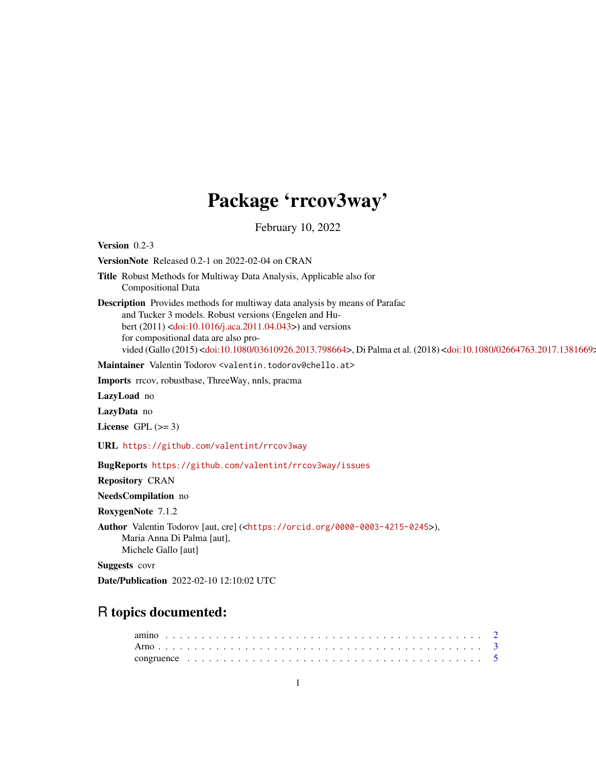# Package 'rrcov3way'

February 10, 2022

Version 0.2-3

VersionNote Released 0.2-1 on 2022-02-04 on CRAN

Title Robust Methods for Multiway Data Analysis, Applicable also for Compositional Data

Description Provides methods for multiway data analysis by means of Parafac and Tucker 3 models. Robust versions (Engelen and Hubert (2011) [<doi:10.1016/j.aca.2011.04.043>](https://doi.org/10.1016/j.aca.2011.04.043)) and versions for compositional data are also pro-vided (Gallo (2015) [<doi:10.1080/03610926.2013.798664>](https://doi.org/10.1080/03610926.2013.798664), Di Palma et al. (2018) <doi:10.1080/02664763.2017.1381669:

Maintainer Valentin Todorov <valentin.todorov@chello.at>

Imports rrcov, robustbase, ThreeWay, nnls, pracma

LazyLoad no

LazyData no

License GPL  $(>= 3)$ 

URL <https://github.com/valentint/rrcov3way>

BugReports <https://github.com/valentint/rrcov3way/issues>

Repository CRAN

NeedsCompilation no

RoxygenNote 7.1.2

Author Valentin Todorov [aut, cre] (<<https://orcid.org/0000-0003-4215-0245>>), Maria Anna Di Palma [aut], Michele Gallo [aut]

Suggests covr

Date/Publication 2022-02-10 12:10:02 UTC

# R topics documented: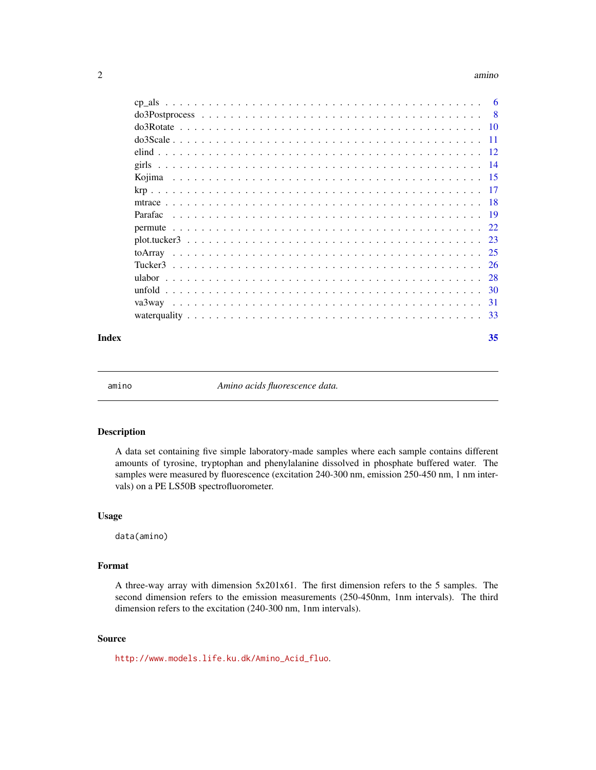#### <span id="page-1-0"></span>2 amino amino amino amino amino amino amino amino amino amino amino amino amino amino amino amino

|         | $\overline{8}$ |
|---------|----------------|
|         |                |
|         | -11            |
|         |                |
|         |                |
| Kojima  |                |
|         |                |
|         |                |
| Parafac |                |
|         |                |
|         |                |
|         |                |
|         | 26             |
|         |                |
| unfold  |                |
|         |                |
|         |                |
|         |                |

## **Index** [35](#page-34-0)

amino *Amino acids fluorescence data.*

# Description

A data set containing five simple laboratory-made samples where each sample contains different amounts of tyrosine, tryptophan and phenylalanine dissolved in phosphate buffered water. The samples were measured by fluorescence (excitation 240-300 nm, emission 250-450 nm, 1 nm intervals) on a PE LS50B spectrofluorometer.

#### Usage

data(amino)

# Format

A three-way array with dimension 5x201x61. The first dimension refers to the 5 samples. The second dimension refers to the emission measurements (250-450nm, 1nm intervals). The third dimension refers to the excitation (240-300 nm, 1nm intervals).

## Source

[http://www.models.life.ku.dk/Amino\\_Acid\\_fluo](http://www.models.life.ku.dk/Amino_Acid_fluo).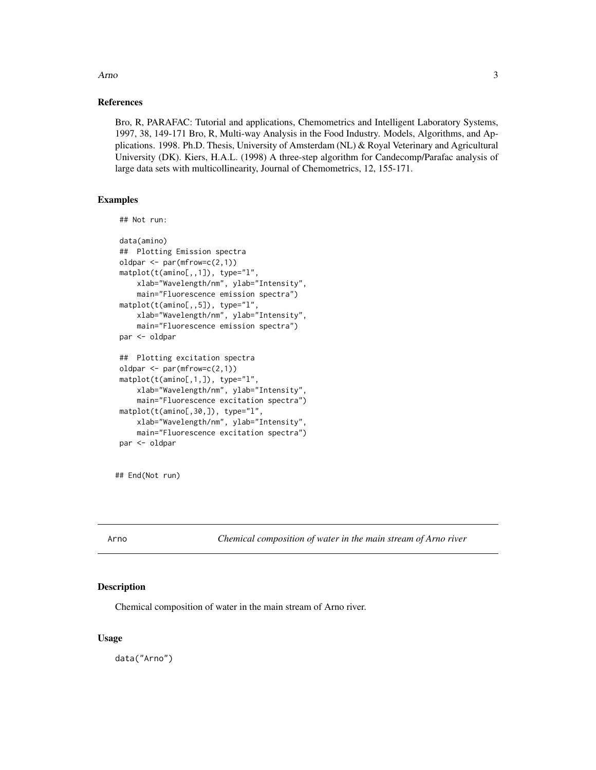<span id="page-2-0"></span>Arno 300 and 300 and 300 and 300 and 300 and 300 and 300 and 300 and 300 and 300 and 300 and 300 and 300 and 300 and 300 and 300 and 300 and 300 and 300 and 300 and 300 and 300 and 300 and 300 and 300 and 300 and 300 and 3

## References

Bro, R, PARAFAC: Tutorial and applications, Chemometrics and Intelligent Laboratory Systems, 1997, 38, 149-171 Bro, R, Multi-way Analysis in the Food Industry. Models, Algorithms, and Applications. 1998. Ph.D. Thesis, University of Amsterdam (NL) & Royal Veterinary and Agricultural University (DK). Kiers, H.A.L. (1998) A three-step algorithm for Candecomp/Parafac analysis of large data sets with multicollinearity, Journal of Chemometrics, 12, 155-171.

## Examples

```
## Not run:
```

```
data(amino)
## Plotting Emission spectra
oldpar <- par(mfrow=c(2,1))
matplot(t(amino[,,1]), type="l",
    xlab="Wavelength/nm", ylab="Intensity",
    main="Fluorescence emission spectra")
matplot(t(amino[,,5]), type="l",
    xlab="Wavelength/nm", ylab="Intensity",
    main="Fluorescence emission spectra")
par <- oldpar
## Plotting excitation spectra
oldpar <- par(mfrow=c(2,1))
matplot(t(amino[,1,]), type="l",
    xlab="Wavelength/nm", ylab="Intensity",
    main="Fluorescence excitation spectra")
matplot(t(amino[,30,]), type="l",
    xlab="Wavelength/nm", ylab="Intensity",
    main="Fluorescence excitation spectra")
par <- oldpar
```
## End(Not run)

Arno *Chemical composition of water in the main stream of Arno river*

## Description

Chemical composition of water in the main stream of Arno river.

#### Usage

data("Arno")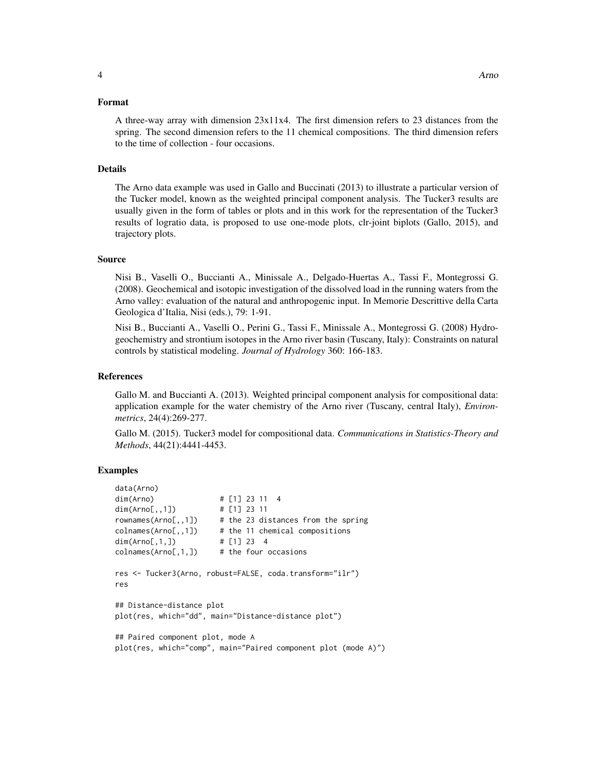## Format

## Details

The Arno data example was used in Gallo and Buccinati (2013) to illustrate a particular version of the Tucker model, known as the weighted principal component analysis. The Tucker3 results are usually given in the form of tables or plots and in this work for the representation of the Tucker3 results of logratio data, is proposed to use one-mode plots, clr-joint biplots (Gallo, 2015), and trajectory plots.

#### Source

Nisi B., Vaselli O., Buccianti A., Minissale A., Delgado-Huertas A., Tassi F., Montegrossi G. (2008). Geochemical and isotopic investigation of the dissolved load in the running waters from the Arno valley: evaluation of the natural and anthropogenic input. In Memorie Descrittive della Carta Geologica d'Italia, Nisi (eds.), 79: 1-91.

Nisi B., Buccianti A., Vaselli O., Perini G., Tassi F., Minissale A., Montegrossi G. (2008) Hydrogeochemistry and strontium isotopes in the Arno river basin (Tuscany, Italy): Constraints on natural controls by statistical modeling. *Journal of Hydrology* 360: 166-183.

#### References

Gallo M. and Buccianti A. (2013). Weighted principal component analysis for compositional data: application example for the water chemistry of the Arno river (Tuscany, central Italy), *Environmetrics*, 24(4):269-277.

Gallo M. (2015). Tucker3 model for compositional data. *Communications in Statistics-Theory and Methods*, 44(21):4441-4453.

```
data(Arno)
dim(Arno) # [1] 23 11 4
dim(Arno[,,1]) # [1] 23 11
rownames(Arno[,,1]) # the 23 distances from the spring
colnames(Arno[,,1]) # the 11 chemical compositions
dim(Arno[,1,]) # [1] 23 4
collnames(\text{Arno}[,1,]) # the four occasions
res <- Tucker3(Arno, robust=FALSE, coda.transform="ilr")
res
## Distance-distance plot
plot(res, which="dd", main="Distance-distance plot")
## Paired component plot, mode A
plot(res, which="comp", main="Paired component plot (mode A)")
```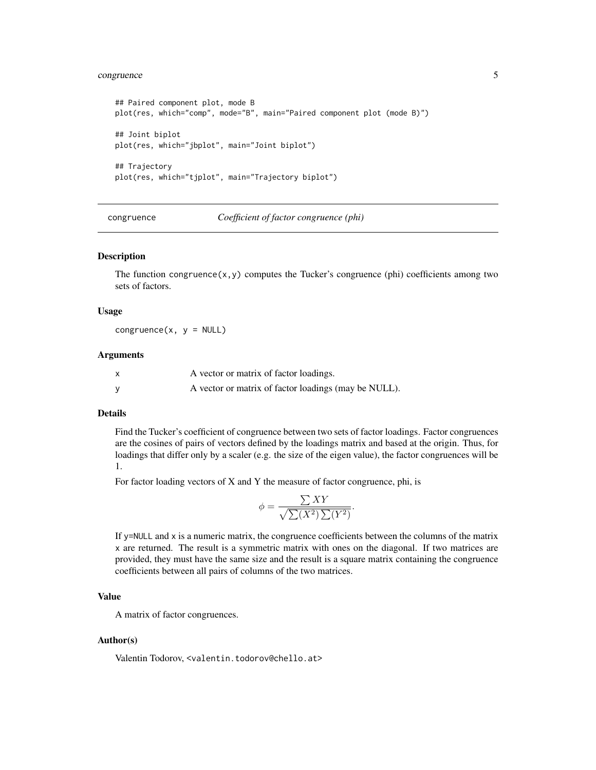# <span id="page-4-0"></span>congruence 5

```
## Paired component plot, mode B
plot(res, which="comp", mode="B", main="Paired component plot (mode B)")
## Joint biplot
plot(res, which="jbplot", main="Joint biplot")
## Trajectory
plot(res, which="tjplot", main="Trajectory biplot")
```
congruence *Coefficient of factor congruence (phi)*

## Description

The function congruence $(x, y)$  computes the Tucker's congruence (phi) coefficients among two sets of factors.

#### Usage

congruence $(x, y = NULL)$ 

#### Arguments

| A vector or matrix of factor loadings.               |
|------------------------------------------------------|
| A vector or matrix of factor loadings (may be NULL). |

## Details

Find the Tucker's coefficient of congruence between two sets of factor loadings. Factor congruences are the cosines of pairs of vectors defined by the loadings matrix and based at the origin. Thus, for loadings that differ only by a scaler (e.g. the size of the eigen value), the factor congruences will be 1.

For factor loading vectors of X and Y the measure of factor congruence, phi, is

$$
\phi = \frac{\sum XY}{\sqrt{\sum (X^2) \sum (Y^2)}}.
$$

If y=NULL and x is a numeric matrix, the congruence coefficients between the columns of the matrix x are returned. The result is a symmetric matrix with ones on the diagonal. If two matrices are provided, they must have the same size and the result is a square matrix containing the congruence coefficients between all pairs of columns of the two matrices.

# Value

A matrix of factor congruences.

## Author(s)

Valentin Todorov, <valentin.todorov@chello.at>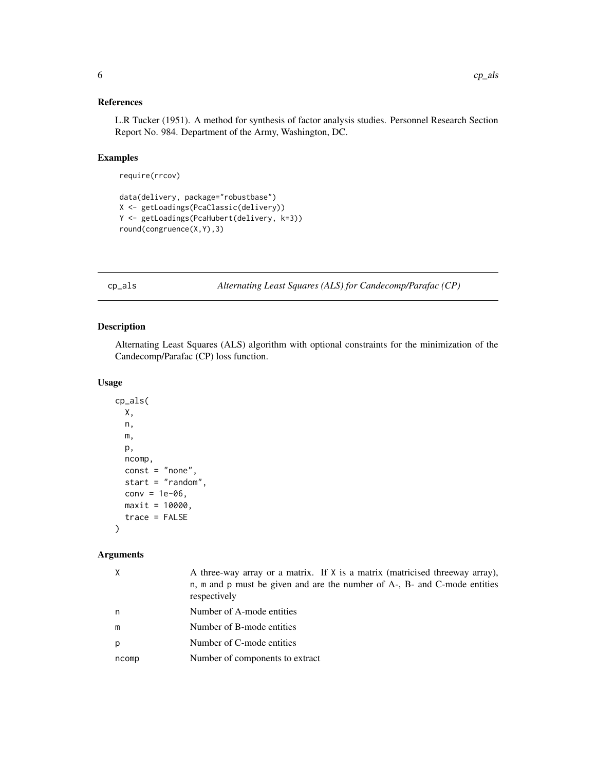# <span id="page-5-0"></span>References

L.R Tucker (1951). A method for synthesis of factor analysis studies. Personnel Research Section Report No. 984. Department of the Army, Washington, DC.

# Examples

require(rrcov)

```
data(delivery, package="robustbase")
X <- getLoadings(PcaClassic(delivery))
Y <- getLoadings(PcaHubert(delivery, k=3))
round(congruence(X,Y),3)
```
cp\_als *Alternating Least Squares (ALS) for Candecomp/Parafac (CP)*

# Description

Alternating Least Squares (ALS) algorithm with optional constraints for the minimization of the Candecomp/Parafac (CP) loss function.

## Usage

```
cp_als(
 X,
  n,
 m,
 p,
  ncomp,
  const = "none",start = "random",
  conv = 1e-06,
 maxit = 10000,
  trace = FALSE
)
```
## Arguments

| $\times$ | A three-way array or a matrix. If X is a matrix (matricised threeway array),<br>n, m and p must be given and are the number of A-, B- and C-mode entities<br>respectively |
|----------|---------------------------------------------------------------------------------------------------------------------------------------------------------------------------|
| n        | Number of A-mode entities                                                                                                                                                 |
| m        | Number of B-mode entities                                                                                                                                                 |
| p        | Number of C-mode entities                                                                                                                                                 |
| ncomp    | Number of components to extract                                                                                                                                           |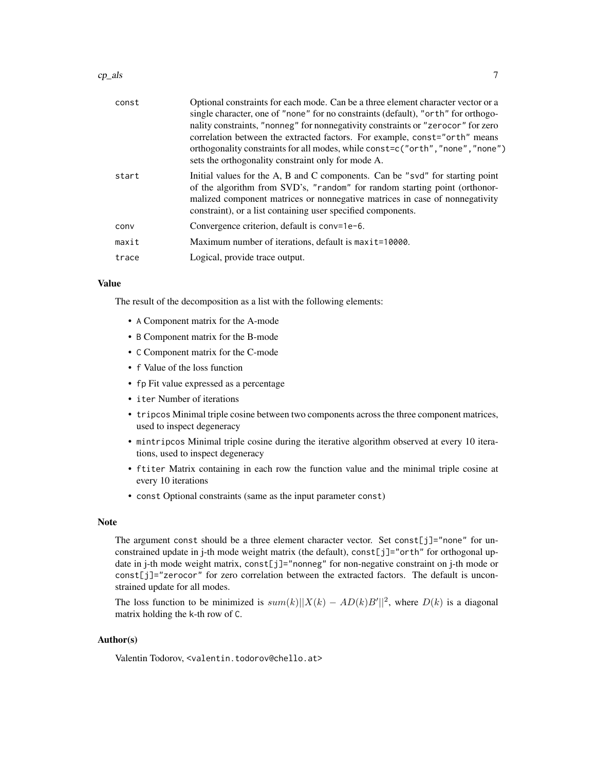#### $cp\_als$  7

| const | Optional constraints for each mode. Can be a three element character vector or a<br>single character, one of "none" for no constraints (default), "orth" for orthogo-<br>nality constraints, "nonneg" for nonnegativity constraints or "zerocor" for zero<br>correlation between the extracted factors. For example, const="orth" means<br>orthogonality constraints for all modes, while const=c("orth", "none", "none")<br>sets the orthogonality constraint only for mode A. |
|-------|---------------------------------------------------------------------------------------------------------------------------------------------------------------------------------------------------------------------------------------------------------------------------------------------------------------------------------------------------------------------------------------------------------------------------------------------------------------------------------|
| start | Initial values for the A, B and C components. Can be "svd" for starting point<br>of the algorithm from SVD's, "random" for random starting point (orthonor-<br>malized component matrices or nonnegative matrices in case of nonnegativity<br>constraint), or a list containing user specified components.                                                                                                                                                                      |
| conv  | Convergence criterion, default is conv=1e-6.                                                                                                                                                                                                                                                                                                                                                                                                                                    |
| maxit | Maximum number of iterations, default is maxit=10000.                                                                                                                                                                                                                                                                                                                                                                                                                           |
| trace | Logical, provide trace output.                                                                                                                                                                                                                                                                                                                                                                                                                                                  |

# Value

The result of the decomposition as a list with the following elements:

- A Component matrix for the A-mode
- B Component matrix for the B-mode
- C Component matrix for the C-mode
- f Value of the loss function
- fp Fit value expressed as a percentage
- iter Number of iterations
- tripcos Minimal triple cosine between two components across the three component matrices, used to inspect degeneracy
- mintripcos Minimal triple cosine during the iterative algorithm observed at every 10 iterations, used to inspect degeneracy
- ftiter Matrix containing in each row the function value and the minimal triple cosine at every 10 iterations
- const Optional constraints (same as the input parameter const)

#### Note

The argument const should be a three element character vector. Set const[j]="none" for unconstrained update in j-th mode weight matrix (the default), const[j]="orth" for orthogonal update in j-th mode weight matrix, const[j]="nonneg" for non-negative constraint on j-th mode or  $const[j]$ ="zerocor" for zero correlation between the extracted factors. The default is unconstrained update for all modes.

The loss function to be minimized is  $sum(k) ||X(k) - AD(k)B'||^2$ , where  $D(k)$  is a diagonal matrix holding the k-th row of C.

# Author(s)

Valentin Todorov, <valentin.todorov@chello.at>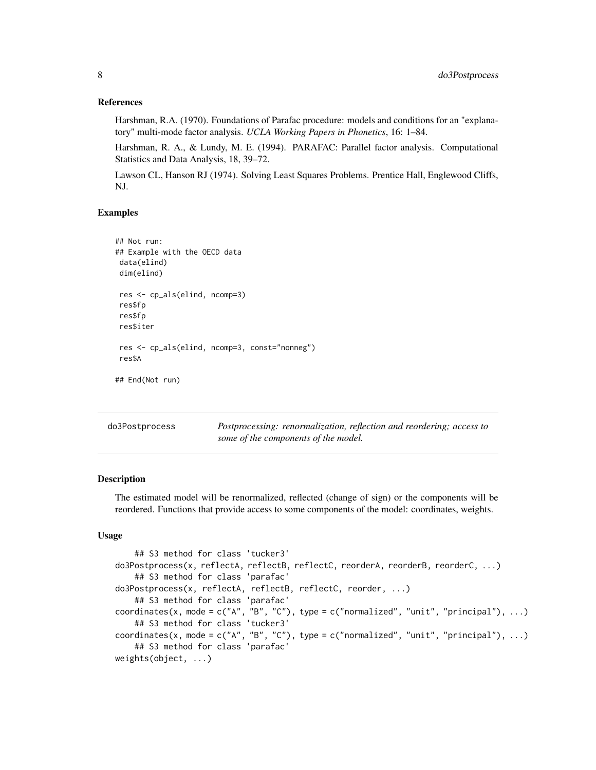## <span id="page-7-0"></span>References

Harshman, R.A. (1970). Foundations of Parafac procedure: models and conditions for an "explanatory" multi-mode factor analysis. *UCLA Working Papers in Phonetics*, 16: 1–84.

Harshman, R. A., & Lundy, M. E. (1994). PARAFAC: Parallel factor analysis. Computational Statistics and Data Analysis, 18, 39–72.

Lawson CL, Hanson RJ (1974). Solving Least Squares Problems. Prentice Hall, Englewood Cliffs, NJ.

## Examples

```
## Not run:
## Example with the OECD data
data(elind)
dim(elind)
res <- cp_als(elind, ncomp=3)
res$fp
res$fp
res$iter
res <- cp_als(elind, ncomp=3, const="nonneg")
res$A
## End(Not run)
```

| do3Postprocess | Postprocessing: renormalization, reflection and reordering; access to |
|----------------|-----------------------------------------------------------------------|
|                | some of the components of the model.                                  |

# Description

The estimated model will be renormalized, reflected (change of sign) or the components will be reordered. Functions that provide access to some components of the model: coordinates, weights.

## Usage

```
## S3 method for class 'tucker3'
do3Postprocess(x, reflectA, reflectB, reflectC, reorderA, reorderB, reorderC, ...)
    ## S3 method for class 'parafac'
do3Postprocess(x, reflectA, reflectB, reflectC, reorder, ...)
    ## S3 method for class 'parafac'
coordinates(x, mode = c("A", "B", "C"), type = c("normalized", "unit", "principal"), ...)
    ## S3 method for class 'tucker3'
coordinates(x, mode = c("A", "B", "C"), type = c("normalized", "unit", "principal"), ...)
    ## S3 method for class 'parafac'
weights(object, ...)
```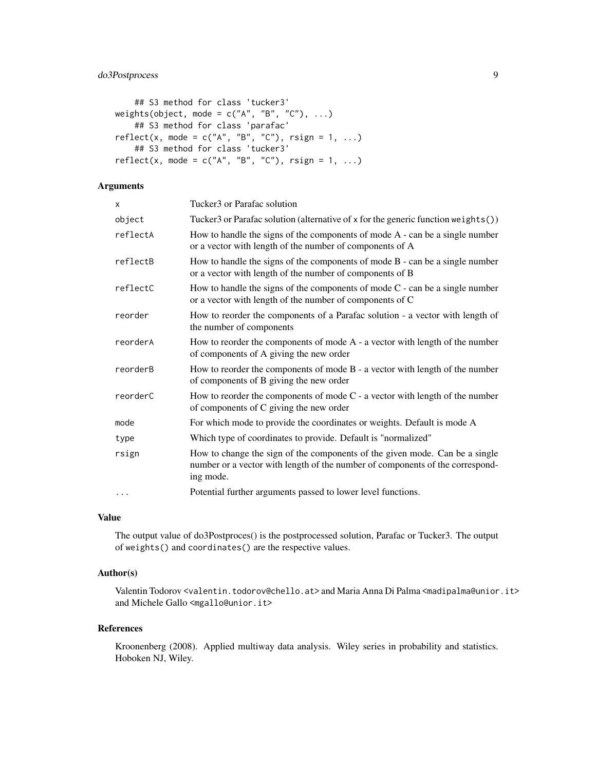# do3Postprocess 9

```
## S3 method for class 'tucker3'
weights(object, mode = c("A", "B", "C"), ...)
    ## S3 method for class 'parafac'
reflect(x, mode = c("A", "B", "C"), rsign = 1, ...)
    ## S3 method for class 'tucker3'
reflect(x, mode = c("A", "B", "C"), rising = 1, ...)
```
# Arguments

| X        | Tucker <sub>3</sub> or Parafac solution                                                                                                                                   |
|----------|---------------------------------------------------------------------------------------------------------------------------------------------------------------------------|
| object   | Tucker3 or Parafac solution (alternative of x for the generic function weights())                                                                                         |
| reflectA | How to handle the signs of the components of mode $A$ - can be a single number<br>or a vector with length of the number of components of A                                |
| reflectB | How to handle the signs of the components of mode $B$ - can be a single number<br>or a vector with length of the number of components of B                                |
| reflectC | How to handle the signs of the components of mode $C$ - can be a single number<br>or a vector with length of the number of components of C                                |
| reorder  | How to reorder the components of a Parafac solution - a vector with length of<br>the number of components                                                                 |
| reorderA | How to reorder the components of mode A - a vector with length of the number<br>of components of A giving the new order                                                   |
| reorderB | How to reorder the components of mode B - a vector with length of the number<br>of components of B giving the new order                                                   |
| reorderC | How to reorder the components of mode $C$ - a vector with length of the number<br>of components of C giving the new order                                                 |
| mode     | For which mode to provide the coordinates or weights. Default is mode A                                                                                                   |
| type     | Which type of coordinates to provide. Default is "normalized"                                                                                                             |
| rsign    | How to change the sign of the components of the given mode. Can be a single<br>number or a vector with length of the number of components of the correspond-<br>ing mode. |
| $\cdots$ | Potential further arguments passed to lower level functions.                                                                                                              |

# Value

The output value of do3Postproces() is the postprocessed solution, Parafac or Tucker3. The output of weights() and coordinates() are the respective values.

# Author(s)

Valentin Todorov <valentin.todorov@chello.at> and Maria Anna Di Palma <madipalma@unior.it> and Michele Gallo <mgallo@unior.it>

## References

Kroonenberg (2008). Applied multiway data analysis. Wiley series in probability and statistics. Hoboken NJ, Wiley.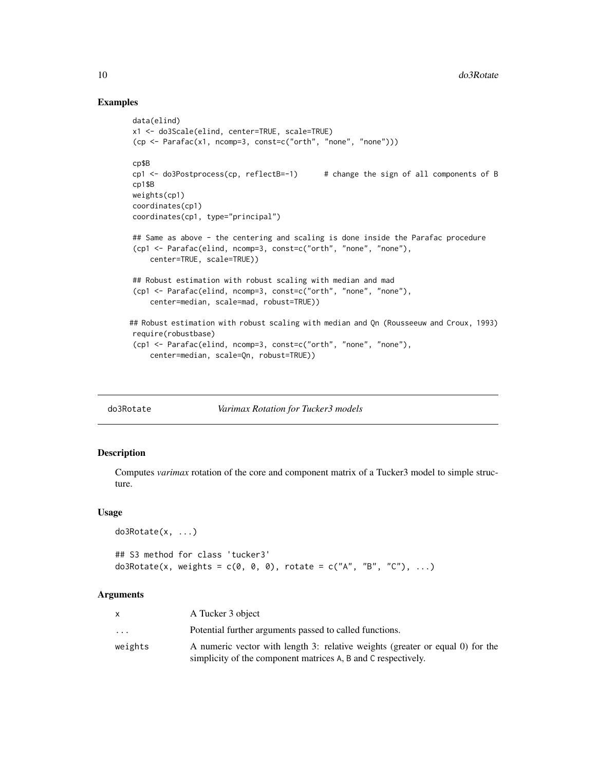## Examples

```
data(elind)
x1 <- do3Scale(elind, center=TRUE, scale=TRUE)
(cp <- Parafac(x1, ncomp=3, const=c("orth", "none", "none")))
cp$B
cp1 <- do3Postprocess(cp, reflectB=-1) # change the sign of all components of B
cp1$B
weights(cp1)
coordinates(cp1)
coordinates(cp1, type="principal")
## Same as above - the centering and scaling is done inside the Parafac procedure
(cp1 <- Parafac(elind, ncomp=3, const=c("orth", "none", "none"),
    center=TRUE, scale=TRUE))
## Robust estimation with robust scaling with median and mad
(cp1 <- Parafac(elind, ncomp=3, const=c("orth", "none", "none"),
    center=median, scale=mad, robust=TRUE))
## Robust estimation with robust scaling with median and Qn (Rousseeuw and Croux, 1993)
require(robustbase)
(cp1 <- Parafac(elind, ncomp=3, const=c("orth", "none", "none"),
    center=median, scale=Qn, robust=TRUE))
```
#### do3Rotate *Varimax Rotation for Tucker3 models*

## Description

Computes *varimax* rotation of the core and component matrix of a Tucker3 model to simple structure.

## Usage

```
do3Rotate(x, ...)
## S3 method for class 'tucker3'
do3Rotate(x, weights = c(0, 0, 0), rotate = c("A", "B", "C"), ...)
```
## Arguments

|                         | A Tucker 3 object                                                                                                                              |
|-------------------------|------------------------------------------------------------------------------------------------------------------------------------------------|
| $\cdot$ $\cdot$ $\cdot$ | Potential further arguments passed to called functions.                                                                                        |
| weights                 | A numeric vector with length 3: relative weights (greater or equal 0) for the<br>simplicity of the component matrices A, B and C respectively. |

<span id="page-9-0"></span>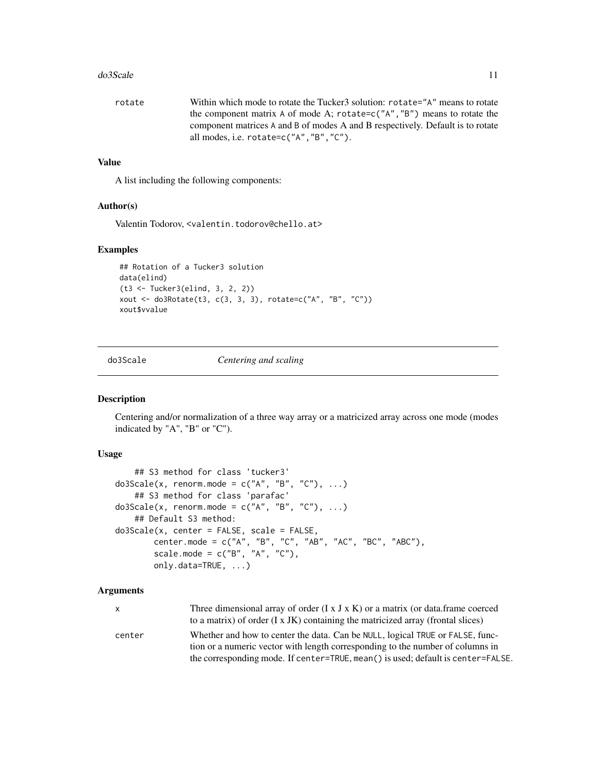#### <span id="page-10-0"></span>do3Scale 11

| rotate | Within which mode to rotate the Tucker 3 solution: rotate="A" means to rotate  |
|--------|--------------------------------------------------------------------------------|
|        | the component matrix A of mode A; rotate=c( $A$ , $B$ ) means to rotate the    |
|        | component matrices A and B of modes A and B respectively. Default is to rotate |
|        | all modes, i.e. $rotate=c("A"."B"."C").$                                       |
|        |                                                                                |

# Value

A list including the following components:

## Author(s)

Valentin Todorov, <valentin.todorov@chello.at>

#### Examples

```
## Rotation of a Tucker3 solution
data(elind)
(t3 <- Tucker3(elind, 3, 2, 2))
xout <- do3Rotate(t3, c(3, 3, 3), rotate=c("A", "B", "C"))
xout$vvalue
```
do3Scale *Centering and scaling*

# Description

Centering and/or normalization of a three way array or a matricized array across one mode (modes indicated by "A", "B" or "C").

# Usage

```
## S3 method for class 'tucker3'
do3Scale(x, renorm.mode = c("A", "B", "C"), ...)
   ## S3 method for class 'parafac'
do3Scale(x, renorm.mode = c("A", "B", "C"), ...)
   ## Default S3 method:
do3Scale(x, center = FALSE, scale = FALSE,
        center.mode = c("A", "B", "C", "AB", "AC", "BC", "ABC"),
        scale.mode = c("B", "A", "C"),
       only.data=TRUE, ...)
```
# Arguments

| X.     | Three dimensional array of order $(I \times J \times K)$ or a matrix (or data.frame coerced |
|--------|---------------------------------------------------------------------------------------------|
|        | to a matrix) of order $(I \times JK)$ containing the matricized array (frontal slices)      |
| center | Whether and how to center the data. Can be NULL, logical TRUE or FALSE, func-               |
|        | tion or a numeric vector with length corresponding to the number of columns in              |
|        | the corresponding mode. If center=TRUE, mean () is used; default is center=FALSE.           |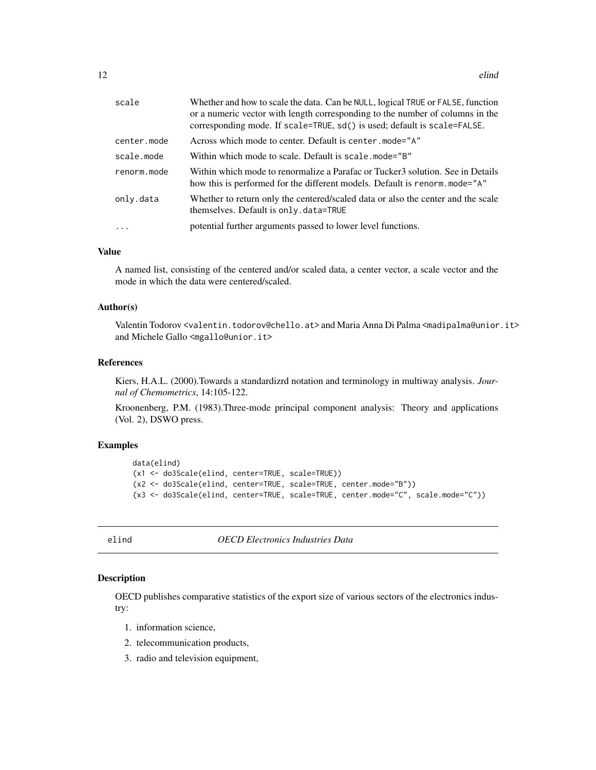<span id="page-11-0"></span>

| scale       | Whether and how to scale the data. Can be NULL, logical TRUE or FALSE, function<br>or a numeric vector with length corresponding to the number of columns in the<br>corresponding mode. If scale=TRUE, sd() is used; default is scale=FALSE. |
|-------------|----------------------------------------------------------------------------------------------------------------------------------------------------------------------------------------------------------------------------------------------|
| center.mode | Across which mode to center. Default is center, mode="A"                                                                                                                                                                                     |
| scale.mode  | Within which mode to scale. Default is scale.mode="B"                                                                                                                                                                                        |
| renorm.mode | Within which mode to renormalize a Parafac or Tucker3 solution. See in Details<br>how this is performed for the different models. Default is renorm mode="A"                                                                                 |
| only.data   | Whether to return only the centered/scaled data or also the center and the scale<br>themselves. Default is only. data=TRUE                                                                                                                   |
| $\ddotsc$   | potential further arguments passed to lower level functions.                                                                                                                                                                                 |

# Value

A named list, consisting of the centered and/or scaled data, a center vector, a scale vector and the mode in which the data were centered/scaled.

## Author(s)

Valentin Todorov <valentin.todorov@chello.at> and Maria Anna Di Palma <madipalma@unior.it> and Michele Gallo <mgallo@unior.it>

# References

Kiers, H.A.L. (2000).Towards a standardizrd notation and terminology in multiway analysis. *Journal of Chemometrics*, 14:105-122.

Kroonenberg, P.M. (1983).Three-mode principal component analysis: Theory and applications (Vol. 2), DSWO press.

## Examples

```
data(elind)
(x1 <- do3Scale(elind, center=TRUE, scale=TRUE))
(x2 <- do3Scale(elind, center=TRUE, scale=TRUE, center.mode="B"))
(x3 <- do3Scale(elind, center=TRUE, scale=TRUE, center.mode="C", scale.mode="C"))
```
elind *OECD Electronics Industries Data*

## Description

OECD publishes comparative statistics of the export size of various sectors of the electronics industry:

- 1. information science,
- 2. telecommunication products,
- 3. radio and television equipment,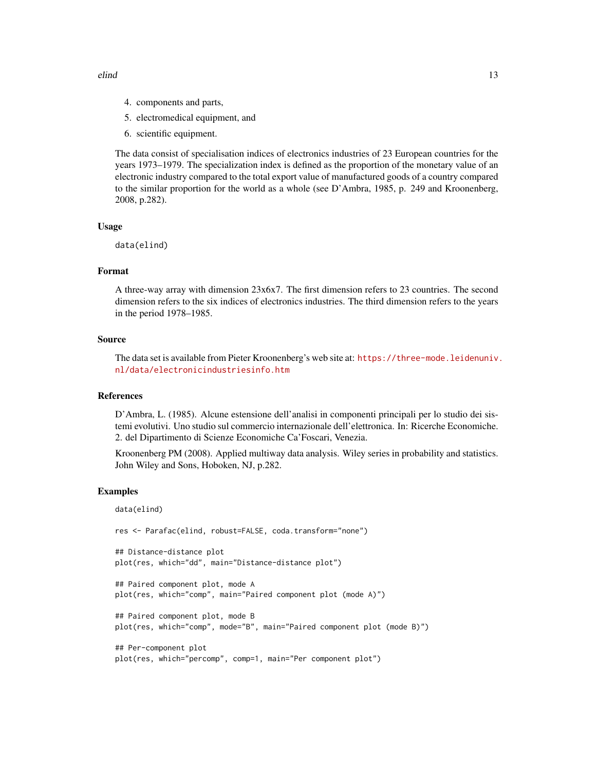elind 13

- 4. components and parts,
- 5. electromedical equipment, and
- 6. scientific equipment.

The data consist of specialisation indices of electronics industries of 23 European countries for the years 1973–1979. The specialization index is defined as the proportion of the monetary value of an electronic industry compared to the total export value of manufactured goods of a country compared to the similar proportion for the world as a whole (see D'Ambra, 1985, p. 249 and Kroonenberg, 2008, p.282).

# Usage

data(elind)

## Format

A three-way array with dimension 23x6x7. The first dimension refers to 23 countries. The second dimension refers to the six indices of electronics industries. The third dimension refers to the years in the period 1978–1985.

## Source

The data set is available from Pieter Kroonenberg's web site at: [https://three-mode.leidenuniv.](https://three-mode.leidenuniv.nl/data/electronicindustriesinfo.htm) [nl/data/electronicindustriesinfo.htm](https://three-mode.leidenuniv.nl/data/electronicindustriesinfo.htm)

# References

D'Ambra, L. (1985). Alcune estensione dell'analisi in componenti principali per lo studio dei sistemi evolutivi. Uno studio sul commercio internazionale dell'elettronica. In: Ricerche Economiche. 2. del Dipartimento di Scienze Economiche Ca'Foscari, Venezia.

Kroonenberg PM (2008). Applied multiway data analysis. Wiley series in probability and statistics. John Wiley and Sons, Hoboken, NJ, p.282.

```
data(elind)
res <- Parafac(elind, robust=FALSE, coda.transform="none")
## Distance-distance plot
plot(res, which="dd", main="Distance-distance plot")
## Paired component plot, mode A
plot(res, which="comp", main="Paired component plot (mode A)")
## Paired component plot, mode B
plot(res, which="comp", mode="B", main="Paired component plot (mode B)")
## Per-component plot
plot(res, which="percomp", comp=1, main="Per component plot")
```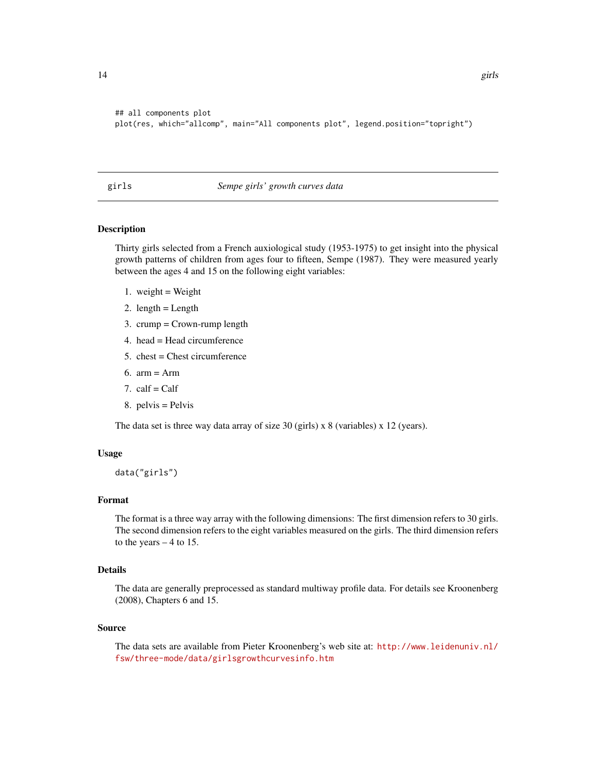```
## all components plot
plot(res, which="allcomp", main="All components plot", legend.position="topright")
```
#### girls *Sempe girls' growth curves data*

# Description

Thirty girls selected from a French auxiological study (1953-1975) to get insight into the physical growth patterns of children from ages four to fifteen, Sempe (1987). They were measured yearly between the ages 4 and 15 on the following eight variables:

- 1. weight  $=$  Weight
- 2. length  $=$  Length
- 3. crump = Crown-rump length
- 4. head = Head circumference
- 5.  $\text{check} = \text{Check}$  circumference
- 6. arm = Arm
- 7.  $calf = \text{Calf}$
- 8. pelvis = Pelvis

The data set is three way data array of size 30 (girls) x 8 (variables) x 12 (years).

## Usage

data("girls")

## Format

The format is a three way array with the following dimensions: The first dimension refers to 30 girls. The second dimension refers to the eight variables measured on the girls. The third dimension refers to the years  $-4$  to 15.

## Details

The data are generally preprocessed as standard multiway profile data. For details see Kroonenberg (2008), Chapters 6 and 15.

#### Source

The data sets are available from Pieter Kroonenberg's web site at: [http://www.leidenuniv.nl/](http://www.leidenuniv.nl/fsw/three-mode/data/girlsgrowthcurvesinfo.htm) [fsw/three-mode/data/girlsgrowthcurvesinfo.htm](http://www.leidenuniv.nl/fsw/three-mode/data/girlsgrowthcurvesinfo.htm)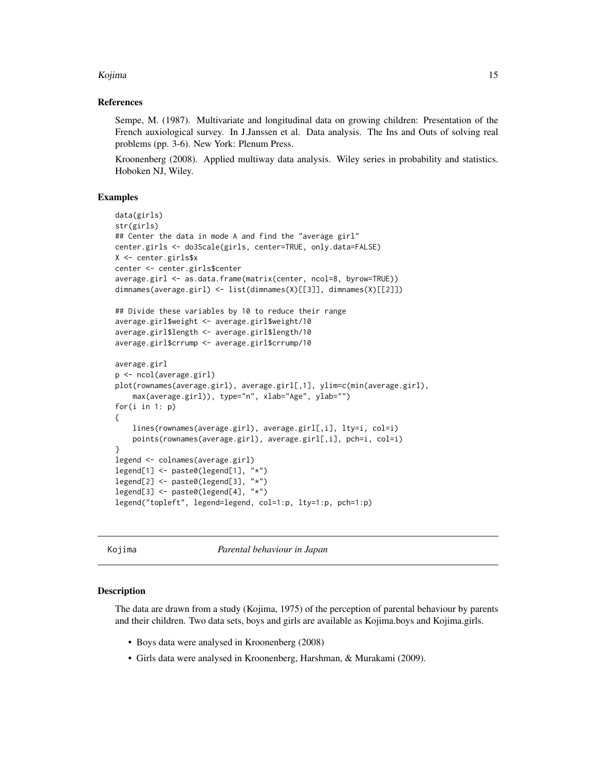## <span id="page-14-0"></span>Kojima **15**

## References

Sempe, M. (1987). Multivariate and longitudinal data on growing children: Presentation of the French auxiological survey. In J.Janssen et al. Data analysis. The Ins and Outs of solving real problems (pp. 3-6). New York: Plenum Press.

Kroonenberg (2008). Applied multiway data analysis. Wiley series in probability and statistics. Hoboken NJ, Wiley.

## Examples

```
data(girls)
str(girls)
## Center the data in mode A and find the "average girl"
center.girls <- do3Scale(girls, center=TRUE, only.data=FALSE)
X <- center.girls$x
center <- center.girls$center
average.girl <- as.data.frame(matrix(center, ncol=8, byrow=TRUE))
dimnames(average.girl) <- list(dimnames(X)[[3]], dimnames(X)[[2]])
## Divide these variables by 10 to reduce their range
average.girl$weight <- average.girl$weight/10
average.girl$length <- average.girl$length/10
average.girl$crrump <- average.girl$crrump/10
average.girl
p <- ncol(average.girl)
plot(rownames(average.girl), average.girl[,1], ylim=c(min(average.girl),
    max(average.girl)), type="n", xlab="Age", ylab="")
for(i in 1: p)
{
    lines(rownames(average.girl), average.girl[,i], lty=i, col=i)
    points(rownames(average.girl), average.girl[,i], pch=i, col=i)
}
legend <- colnames(average.girl)
legend[1] <- paste0(legend[1], "*")
legend[2] <- paste0(legend[3], "*")
legend[3] <- paste0(legend[4], "*")
legend("topleft", legend=legend, col=1:p, lty=1:p, pch=1:p)
```
Kojima *Parental behaviour in Japan*

#### Description

The data are drawn from a study (Kojima, 1975) of the perception of parental behaviour by parents and their children. Two data sets, boys and girls are available as Kojima.boys and Kojima.girls.

- Boys data were analysed in Kroonenberg (2008)
- Girls data were analysed in Kroonenberg, Harshman, & Murakami (2009).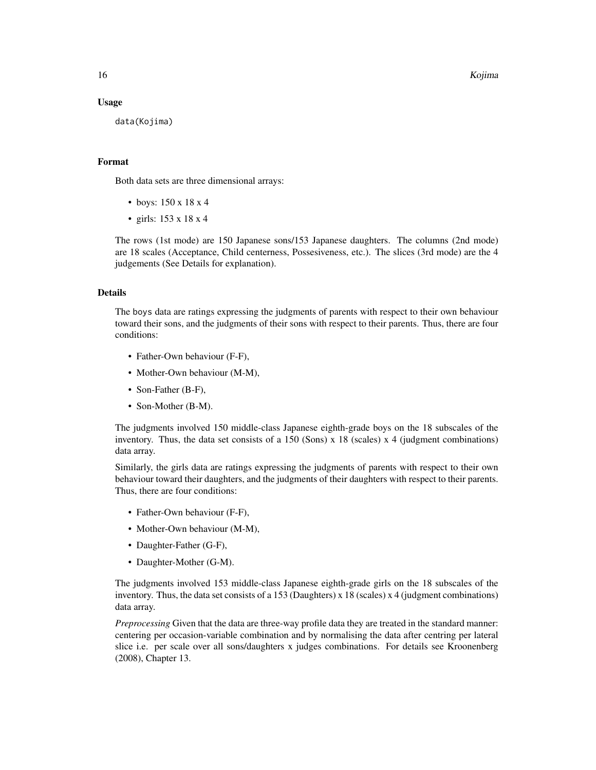16 Kojima

#### Usage

data(Kojima)

## Format

Both data sets are three dimensional arrays:

- boys: 150 x 18 x 4
- girls: 153 x 18 x 4

The rows (1st mode) are 150 Japanese sons/153 Japanese daughters. The columns (2nd mode) are 18 scales (Acceptance, Child centerness, Possesiveness, etc.). The slices (3rd mode) are the 4 judgements (See Details for explanation).

## Details

The boys data are ratings expressing the judgments of parents with respect to their own behaviour toward their sons, and the judgments of their sons with respect to their parents. Thus, there are four conditions:

- Father-Own behaviour (F-F),
- Mother-Own behaviour (M-M),
- Son-Father (B-F),
- Son-Mother (B-M).

The judgments involved 150 middle-class Japanese eighth-grade boys on the 18 subscales of the inventory. Thus, the data set consists of a 150 (Sons) x 18 (scales) x 4 (judgment combinations) data array.

Similarly, the girls data are ratings expressing the judgments of parents with respect to their own behaviour toward their daughters, and the judgments of their daughters with respect to their parents. Thus, there are four conditions:

- Father-Own behaviour (F-F),
- Mother-Own behaviour (M-M),
- Daughter-Father (G-F),
- Daughter-Mother (G-M).

The judgments involved 153 middle-class Japanese eighth-grade girls on the 18 subscales of the inventory. Thus, the data set consists of a 153 (Daughters) x 18 (scales) x 4 (judgment combinations) data array.

*Preprocessing* Given that the data are three-way profile data they are treated in the standard manner: centering per occasion-variable combination and by normalising the data after centring per lateral slice i.e. per scale over all sons/daughters x judges combinations. For details see Kroonenberg (2008), Chapter 13.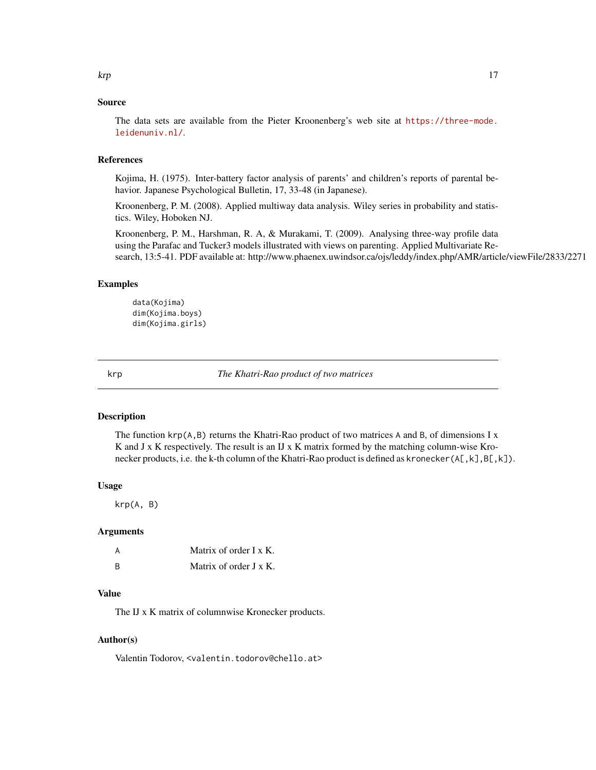# <span id="page-16-0"></span>Source

The data sets are available from the Pieter Kroonenberg's web site at [https://three-mode.](https://three-mode.leidenuniv.nl/) [leidenuniv.nl/](https://three-mode.leidenuniv.nl/).

# References

Kojima, H. (1975). Inter-battery factor analysis of parents' and children's reports of parental behavior. Japanese Psychological Bulletin, 17, 33-48 (in Japanese).

Kroonenberg, P. M. (2008). Applied multiway data analysis. Wiley series in probability and statistics. Wiley, Hoboken NJ.

Kroonenberg, P. M., Harshman, R. A, & Murakami, T. (2009). Analysing three-way profile data using the Parafac and Tucker3 models illustrated with views on parenting. Applied Multivariate Research, 13:5-41. PDF available at: http://www.phaenex.uwindsor.ca/ojs/leddy/index.php/AMR/article/viewFile/2833/2271

## Examples

data(Kojima) dim(Kojima.boys) dim(Kojima.girls)

krp *The Khatri-Rao product of two matrices*

# Description

The function  $\text{krp}(A, B)$  returns the Khatri-Rao product of two matrices A and B, of dimensions I x K and J x K respectively. The result is an IJ x K matrix formed by the matching column-wise Kronecker products, i.e. the k-th column of the Khatri-Rao product is defined as kronecker( $A[, K], B[, K]$ ).

## Usage

krp(A, B)

#### Arguments

| A        | Matrix of order $I \times K$ . |
|----------|--------------------------------|
| <b>B</b> | Matrix of order J x K.         |

# Value

The IJ x K matrix of columnwise Kronecker products.

# Author(s)

Valentin Todorov, <valentin.todorov@chello.at>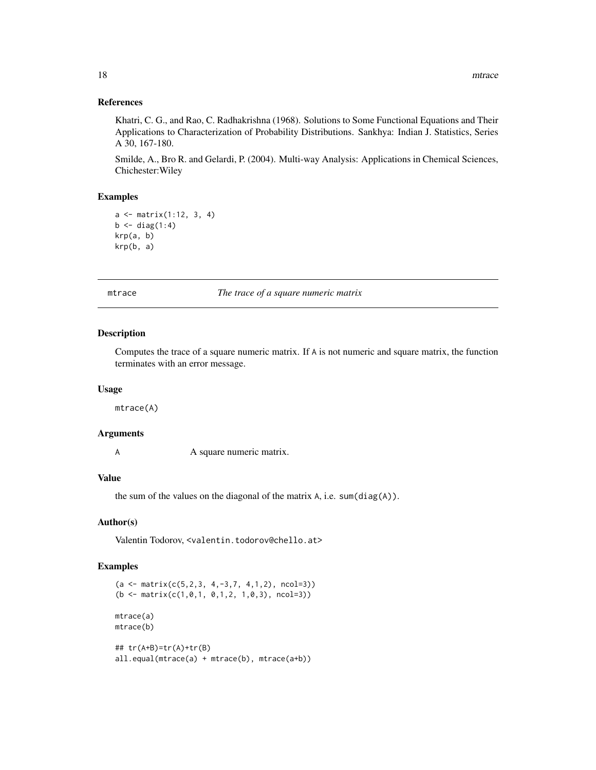## References

Khatri, C. G., and Rao, C. Radhakrishna (1968). Solutions to Some Functional Equations and Their Applications to Characterization of Probability Distributions. Sankhya: Indian J. Statistics, Series A 30, 167-180.

Smilde, A., Bro R. and Gelardi, P. (2004). Multi-way Analysis: Applications in Chemical Sciences, Chichester:Wiley

## Examples

```
a \leq - matrix(1:12, 3, 4)
b \leftarrow diag(1:4)krp(a, b)
krp(b, a)
```
mtrace *The trace of a square numeric matrix*

#### Description

Computes the trace of a square numeric matrix. If A is not numeric and square matrix, the function terminates with an error message.

#### Usage

mtrace(A)

# Arguments

A square numeric matrix.

# Value

the sum of the values on the diagonal of the matrix A, i.e. sum(diag(A)).

# Author(s)

Valentin Todorov, <valentin.todorov@chello.at>

```
(a \leq matrix(c(5, 2, 3, 4, -3, 7, 4, 1, 2), ncol=3))(b \le matrix(c(1,0,1, 0,1,2, 1,0,3), ncol=3))
mtrace(a)
mtrace(b)
## tr(A+B)=tr(A)+tr(B)
all.equal(mtrace(a) + mtrace(b), mtrace(a+b))
```
<span id="page-17-0"></span>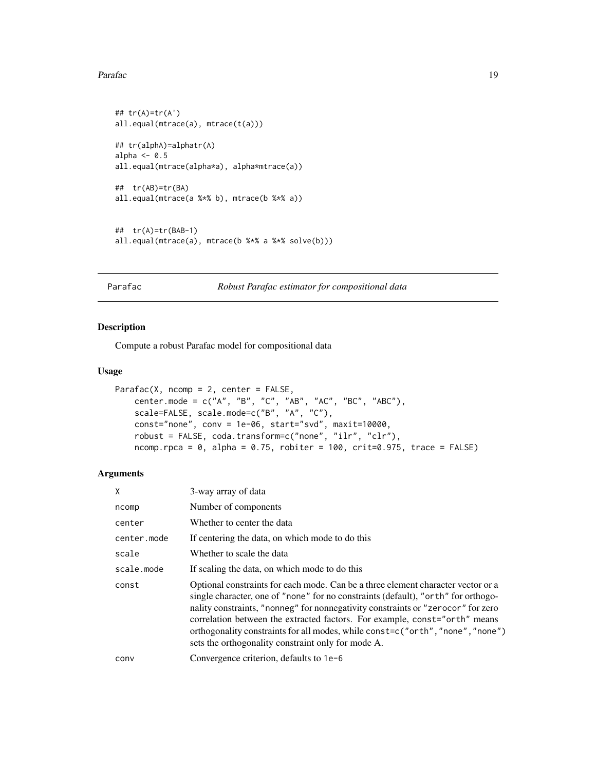## <span id="page-18-0"></span>Parafac 2008 and 2009 and 2009 and 2009 and 2009 and 2009 and 2009 and 2009 and 2009 and 2009 and 2009 and 200

```
## tr(A)=tr(A')
all.equal(mtrace(a), mtrace(t(a)))
## tr(alphA)=alphatr(A)
alpha <-0.5all.equal(mtrace(alpha*a), alpha*mtrace(a))
## tr(AB)=tr(BA)
all.equal(mtrace(a %*% b), mtrace(b %*% a))
## tr(A)=tr(BAB-1)
all.equal(mtrace(a), mtrace(b %*% a %*% solve(b)))
```

```
Parafac Robust Parafac estimator for compositional data
```
# Description

Compute a robust Parafac model for compositional data

## Usage

```
Parafac(X, ncomp = 2, center = FALSE,
   center.mode = c("A", "B", "C", "AB", "AC", "BC", "ABC"),
   scale=FALSE, scale.mode=c("B", "A", "C"),
   const="none", conv = 1e-06, start="svd", maxit=10000,
   robust = FALSE, coda.transform=c("none", "ilr", "clr"),
   ncomp.rpca = 0, alpha = 0.75, robiter = 100, crit=0.975, trace = FALSE)
```
# Arguments

| Χ           | 3-way array of data                                                                                                                                                                                                                                                                                                                                                                                                                                                               |
|-------------|-----------------------------------------------------------------------------------------------------------------------------------------------------------------------------------------------------------------------------------------------------------------------------------------------------------------------------------------------------------------------------------------------------------------------------------------------------------------------------------|
| ncomp       | Number of components                                                                                                                                                                                                                                                                                                                                                                                                                                                              |
| center      | Whether to center the data                                                                                                                                                                                                                                                                                                                                                                                                                                                        |
| center.mode | If centering the data, on which mode to do this                                                                                                                                                                                                                                                                                                                                                                                                                                   |
| scale       | Whether to scale the data                                                                                                                                                                                                                                                                                                                                                                                                                                                         |
| scale.mode  | If scaling the data, on which mode to do this                                                                                                                                                                                                                                                                                                                                                                                                                                     |
| const       | Optional constraints for each mode. Can be a three element character vector or a<br>single character, one of "none" for no constraints (default), "or the "for orthogo-<br>nality constraints, "nonneg" for nonnegativity constraints or "zerocor" for zero<br>correlation between the extracted factors. For example, const="orth" means<br>orthogonality constraints for all modes, while const=c("orth", "none", "none")<br>sets the orthogonality constraint only for mode A. |
| conv        | Convergence criterion, defaults to 1e-6                                                                                                                                                                                                                                                                                                                                                                                                                                           |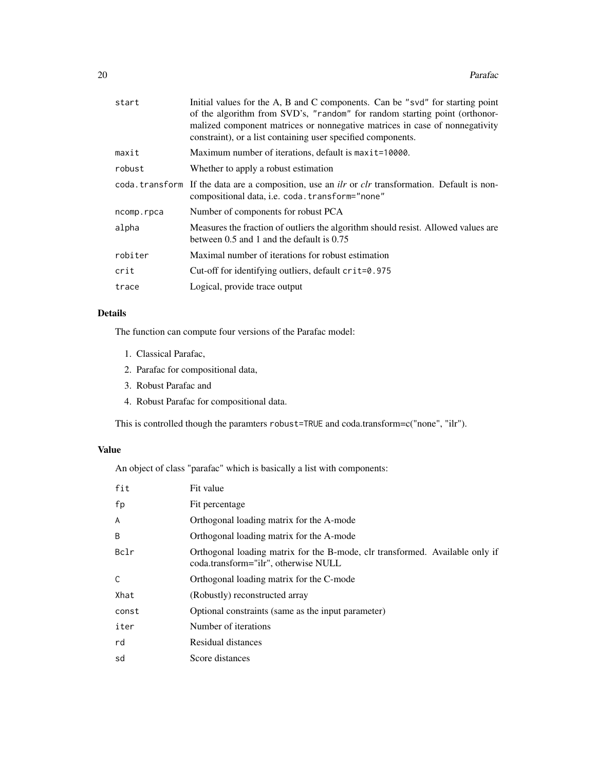| start      | Initial values for the A, B and C components. Can be "svd" for starting point<br>of the algorithm from SVD's, "random" for random starting point (orthonor-<br>malized component matrices or nonnegative matrices in case of nonnegativity<br>constraint), or a list containing user specified components. |  |
|------------|------------------------------------------------------------------------------------------------------------------------------------------------------------------------------------------------------------------------------------------------------------------------------------------------------------|--|
| maxit      | Maximum number of iterations, default is maxit=10000.                                                                                                                                                                                                                                                      |  |
| robust     | Whether to apply a robust estimation                                                                                                                                                                                                                                                                       |  |
|            | coda. transform If the data are a composition, use an <i>ilr</i> or <i>clr</i> transformation. Default is non-<br>compositional data, i.e. coda. transform="none"                                                                                                                                          |  |
| ncomp.rpca | Number of components for robust PCA                                                                                                                                                                                                                                                                        |  |
| alpha      | Measures the fraction of outliers the algorithm should resist. Allowed values are<br>between $0.5$ and 1 and the default is $0.75$                                                                                                                                                                         |  |
| robiter    | Maximal number of iterations for robust estimation                                                                                                                                                                                                                                                         |  |
| crit       | Cut-off for identifying outliers, default $crit=0.975$                                                                                                                                                                                                                                                     |  |
| trace      | Logical, provide trace output                                                                                                                                                                                                                                                                              |  |

# Details

The function can compute four versions of the Parafac model:

- 1. Classical Parafac,
- 2. Parafac for compositional data,
- 3. Robust Parafac and
- 4. Robust Parafac for compositional data.

This is controlled though the paramters robust=TRUE and coda.transform=c("none", "ilr").

# Value

An object of class "parafac" which is basically a list with components:

| fit   | Fit value                                                                                                            |
|-------|----------------------------------------------------------------------------------------------------------------------|
| fp    | Fit percentage                                                                                                       |
| A     | Orthogonal loading matrix for the A-mode                                                                             |
| B     | Orthogonal loading matrix for the A-mode                                                                             |
| Bclr  | Orthogonal loading matrix for the B-mode, clr transformed. Available only if<br>coda.transform="ilr", otherwise NULL |
| C     | Orthogonal loading matrix for the C-mode                                                                             |
| Xhat  | (Robustly) reconstructed array                                                                                       |
| const | Optional constraints (same as the input parameter)                                                                   |
| iter  | Number of iterations                                                                                                 |
| rd    | Residual distances                                                                                                   |
| sd    | Score distances                                                                                                      |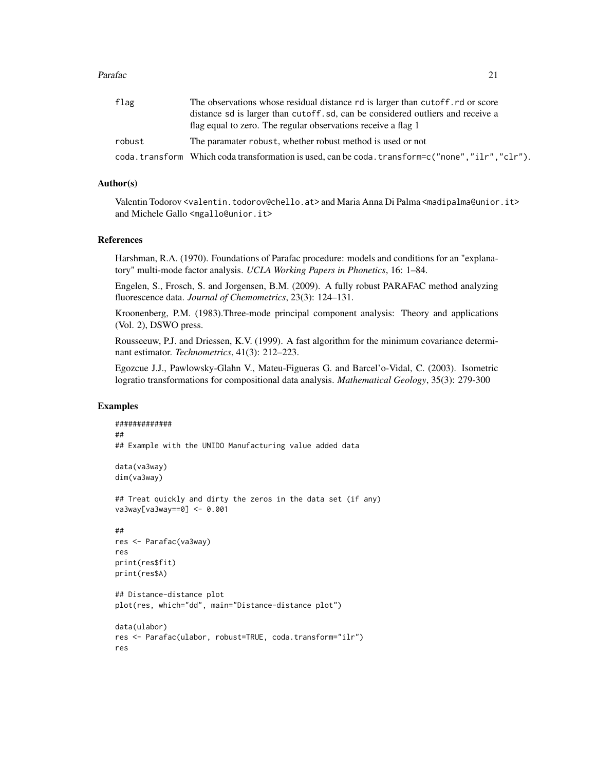## Parafac 21 and 22 and 22 and 22 and 22 and 23 and 23 and 23 and 23 and 23 and 24 and 24 and 25 and 26 and 27 and 27 and 27 and 27 and 27 and 27 and 27 and 27 and 27 and 27 and 27 and 27 and 27 and 27 and 27 and 27 and 27 a

| flag<br>The observations whose residual distance rd is larger than cutoff, rd or score |                                                                                               |
|----------------------------------------------------------------------------------------|-----------------------------------------------------------------------------------------------|
|                                                                                        | distance so is larger than cutoff, sd, can be considered outliers and receive a               |
|                                                                                        | flag equal to zero. The regular observations receive a flag 1                                 |
| robust                                                                                 | The paramater robust, whether robust method is used or not                                    |
|                                                                                        | .coda.transform Which codatransformation is used, can be coda.transform=c("none","ilr","clr") |

## Author(s)

Valentin Todorov <valentin.todorov@chello.at> and Maria Anna Di Palma <madipalma@unior.it> and Michele Gallo <mgallo@unior.it>

## References

Harshman, R.A. (1970). Foundations of Parafac procedure: models and conditions for an "explanatory" multi-mode factor analysis. *UCLA Working Papers in Phonetics*, 16: 1–84.

Engelen, S., Frosch, S. and Jorgensen, B.M. (2009). A fully robust PARAFAC method analyzing fluorescence data. *Journal of Chemometrics*, 23(3): 124–131.

Kroonenberg, P.M. (1983).Three-mode principal component analysis: Theory and applications (Vol. 2), DSWO press.

Rousseeuw, P.J. and Driessen, K.V. (1999). A fast algorithm for the minimum covariance determinant estimator. *Technometrics*, 41(3): 212–223.

Egozcue J.J., Pawlowsky-Glahn V., Mateu-Figueras G. and Barcel'o-Vidal, C. (2003). Isometric logratio transformations for compositional data analysis. *Mathematical Geology*, 35(3): 279-300

```
#############
##
## Example with the UNIDO Manufacturing value added data
data(va3way)
dim(va3way)
## Treat quickly and dirty the zeros in the data set (if any)
va3way[va3way==0] <- 0.001
##
res <- Parafac(va3way)
res
print(res$fit)
print(res$A)
## Distance-distance plot
plot(res, which="dd", main="Distance-distance plot")
data(ulabor)
res <- Parafac(ulabor, robust=TRUE, coda.transform="ilr")
res
```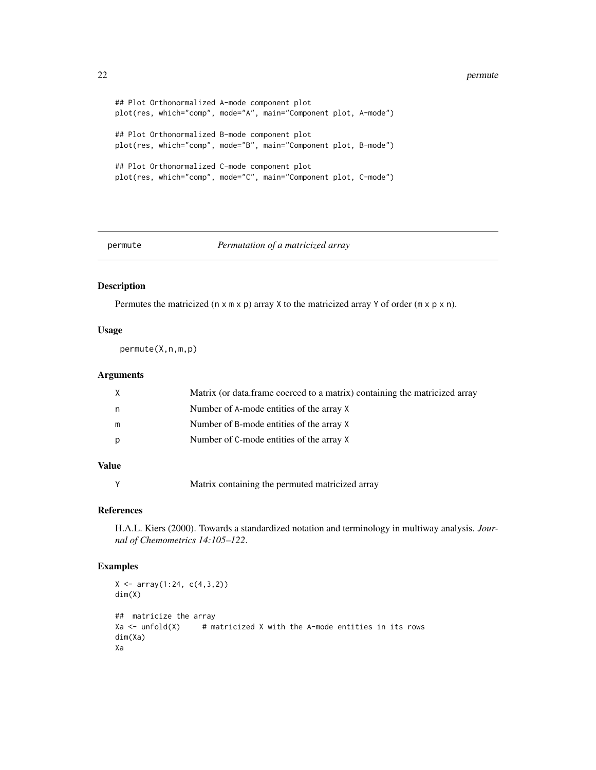#### <span id="page-21-0"></span>22 permute

```
## Plot Orthonormalized A-mode component plot
plot(res, which="comp", mode="A", main="Component plot, A-mode")
## Plot Orthonormalized B-mode component plot
plot(res, which="comp", mode="B", main="Component plot, B-mode")
## Plot Orthonormalized C-mode component plot
plot(res, which="comp", mode="C", main="Component plot, C-mode")
```
## permute *Permutation of a matricized array*

## Description

Permutes the matricized ( $n \times m \times p$ ) array X to the matricized array Y of order ( $m \times p \times n$ ).

## Usage

permute(X,n,m,p)

# Arguments

|   | Matrix (or data.frame coerced to a matrix) containing the matricized array |
|---|----------------------------------------------------------------------------|
| n | Number of A-mode entities of the array X                                   |
| m | Number of B-mode entities of the array X                                   |
|   | Number of C-mode entities of the array X                                   |
|   |                                                                            |

# Value

Y Matrix containing the permuted matricized array

## References

H.A.L. Kiers (2000). Towards a standardized notation and terminology in multiway analysis. *Journal of Chemometrics 14:105–122*.

```
X \leftarrow \text{array}(1:24, c(4,3,2))dim(X)
## matricize the array
Xa \le - unfold(X) # matricized X with the A-mode entities in its rows
dim(Xa)
Xa
```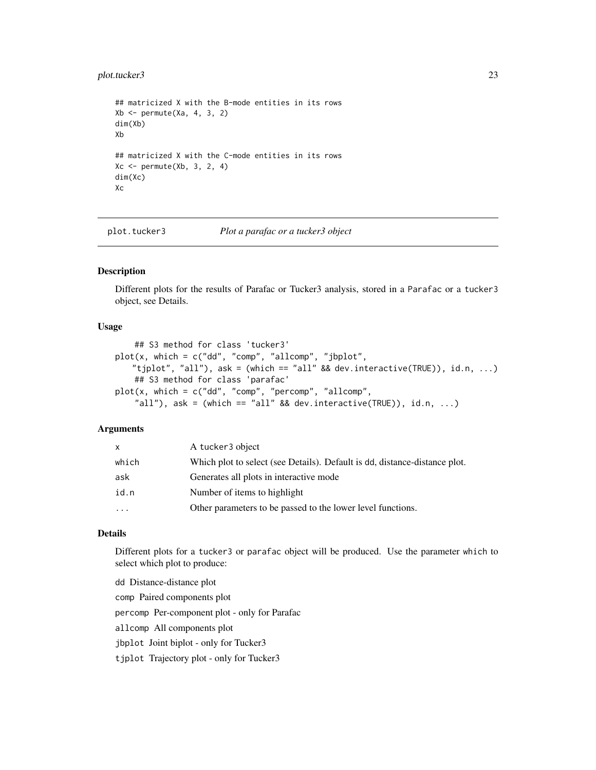# <span id="page-22-0"></span>plot.tucker3 23

```
## matricized X with the B-mode entities in its rows
Xb \leftarrow permute(Xa, 4, 3, 2)
dim(Xb)
Xb
## matricized X with the C-mode entities in its rows
Xc \leftarrow permute(Xb, 3, 2, 4)
dim(Xc)
Xc
```
plot.tucker3 *Plot a parafac or a tucker3 object*

# Description

Different plots for the results of Parafac or Tucker3 analysis, stored in a Parafac or a tucker3 object, see Details.

# Usage

```
## S3 method for class 'tucker3'
plot(x, which = c("dd", "comp", "allowmp", "jbplot","tjplot", "all"), ask = (which == "all" && dev.interactive(TRUE)), id.n, ...)
    ## S3 method for class 'parafac'
plot(x, which = c("dd", "comp", "percomp", "allow, "allow","all"), ask = (which == "all" && dev.interactive(TRUE)), id.n, ...)
```
## Arguments

| <b>X</b>  | A tucker3 object                                                           |
|-----------|----------------------------------------------------------------------------|
| which     | Which plot to select (see Details). Default is dd, distance-distance plot. |
| ask       | Generates all plots in interactive mode                                    |
| id.n      | Number of items to highlight                                               |
| $\ddotsc$ | Other parameters to be passed to the lower level functions.                |

# Details

Different plots for a tucker3 or parafac object will be produced. Use the parameter which to select which plot to produce:

```
dd Distance-distance plot
comp Paired components plot
percomp Per-component plot - only for Parafac
allcomp All components plot
jbplot Joint biplot - only for Tucker3
tjplot Trajectory plot - only for Tucker3
```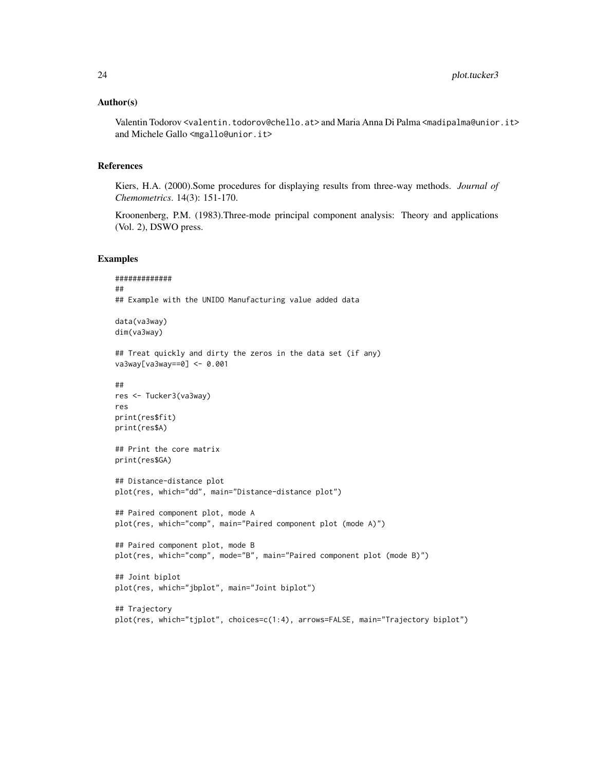## Author(s)

Valentin Todorov <valentin.todorov@chello.at> and Maria Anna Di Palma <madipalma@unior.it> and Michele Gallo <mgallo@unior.it>

## References

Kiers, H.A. (2000).Some procedures for displaying results from three-way methods. *Journal of Chemometrics*. 14(3): 151-170.

Kroonenberg, P.M. (1983).Three-mode principal component analysis: Theory and applications (Vol. 2), DSWO press.

```
#############
##
## Example with the UNIDO Manufacturing value added data
data(va3way)
dim(va3way)
## Treat quickly and dirty the zeros in the data set (if any)
va3way[va3way==0] <- 0.001
##
res <- Tucker3(va3way)
res
print(res$fit)
print(res$A)
## Print the core matrix
print(res$GA)
## Distance-distance plot
plot(res, which="dd", main="Distance-distance plot")
## Paired component plot, mode A
plot(res, which="comp", main="Paired component plot (mode A)")
## Paired component plot, mode B
plot(res, which="comp", mode="B", main="Paired component plot (mode B)")
## Joint biplot
plot(res, which="jbplot", main="Joint biplot")
## Trajectory
plot(res, which="tjplot", choices=c(1:4), arrows=FALSE, main="Trajectory biplot")
```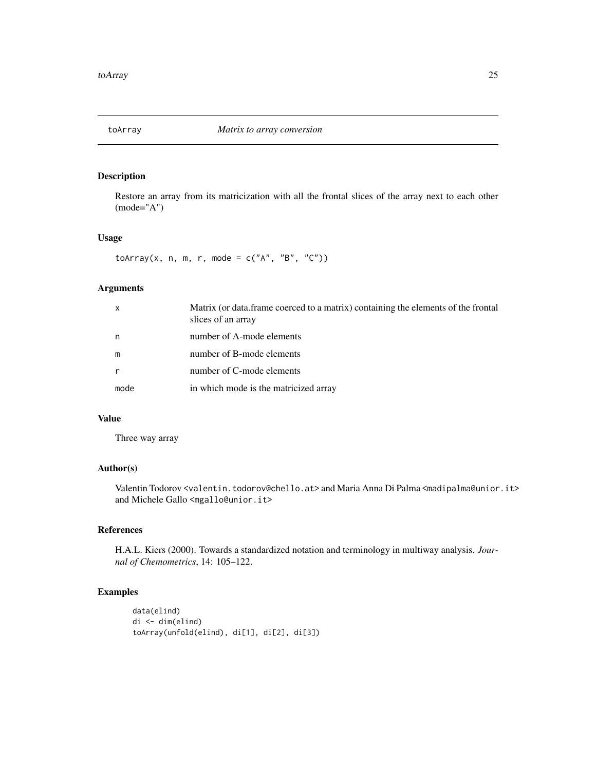<span id="page-24-0"></span>

# Description

Restore an array from its matricization with all the frontal slices of the array next to each other (mode="A")

## Usage

toArray(x, n, m, r, mode =  $c("A", "B", "C"))$ 

# Arguments

| X    | Matrix (or data.frame coerced to a matrix) containing the elements of the frontal<br>slices of an array |
|------|---------------------------------------------------------------------------------------------------------|
| n    | number of A-mode elements                                                                               |
| m    | number of B-mode elements                                                                               |
| r    | number of C-mode elements                                                                               |
| mode | in which mode is the matricized array                                                                   |

## Value

Three way array

# Author(s)

Valentin Todorov <valentin.todorov@chello.at> and Maria Anna Di Palma <madipalma@unior.it> and Michele Gallo <mgallo@unior.it>

# References

H.A.L. Kiers (2000). Towards a standardized notation and terminology in multiway analysis. *Journal of Chemometrics*, 14: 105–122.

```
data(elind)
di <- dim(elind)
toArray(unfold(elind), di[1], di[2], di[3])
```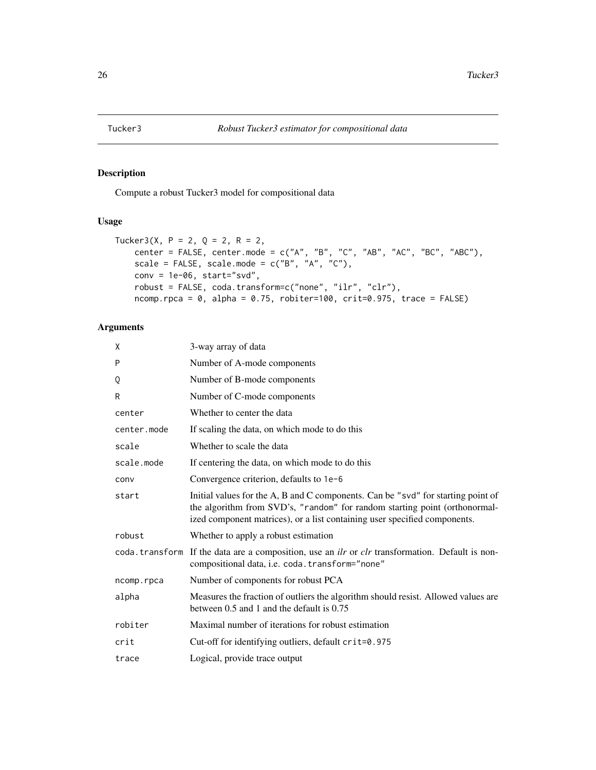<span id="page-25-0"></span>

# Description

Compute a robust Tucker3 model for compositional data

# Usage

```
Tucker3(X, P = 2, Q = 2, R = 2,
   center = FALSE, center.mode = c("A", "B", "C", "AB", "AC", "BC", "ABC"),
   scale = FALSE, scale.mode = c("B", "A", "C"),conv = 1e-06, start="svd",robust = FALSE, coda.transform=c("none", "ilr", "clr"),
   ncomp.rpca = 0, alpha = 0.75, robiter=100, crit=0.975, trace = FALSE)
```
# Arguments

| X           | 3-way array of data                                                                                                                                                                                                                         |  |
|-------------|---------------------------------------------------------------------------------------------------------------------------------------------------------------------------------------------------------------------------------------------|--|
| P           | Number of A-mode components                                                                                                                                                                                                                 |  |
| Q           | Number of B-mode components                                                                                                                                                                                                                 |  |
| R           | Number of C-mode components                                                                                                                                                                                                                 |  |
| center      | Whether to center the data                                                                                                                                                                                                                  |  |
| center.mode | If scaling the data, on which mode to do this                                                                                                                                                                                               |  |
| scale       | Whether to scale the data                                                                                                                                                                                                                   |  |
| scale.mode  | If centering the data, on which mode to do this                                                                                                                                                                                             |  |
| conv        | Convergence criterion, defaults to $1e-6$                                                                                                                                                                                                   |  |
| start       | Initial values for the A, B and C components. Can be "svd" for starting point of<br>the algorithm from SVD's, "random" for random starting point (orthonormal-<br>ized component matrices), or a list containing user specified components. |  |
| robust      | Whether to apply a robust estimation                                                                                                                                                                                                        |  |
|             | coda. transform If the data are a composition, use an <i>ilr</i> or <i>clr</i> transformation. Default is non-<br>compositional data, i.e. coda. transform="none"                                                                           |  |
| ncomp.rpca  | Number of components for robust PCA                                                                                                                                                                                                         |  |
| alpha       | Measures the fraction of outliers the algorithm should resist. Allowed values are<br>between 0.5 and 1 and the default is 0.75                                                                                                              |  |
| robiter     | Maximal number of iterations for robust estimation                                                                                                                                                                                          |  |
| crit        | Cut-off for identifying outliers, default crit=0.975                                                                                                                                                                                        |  |
| trace       | Logical, provide trace output                                                                                                                                                                                                               |  |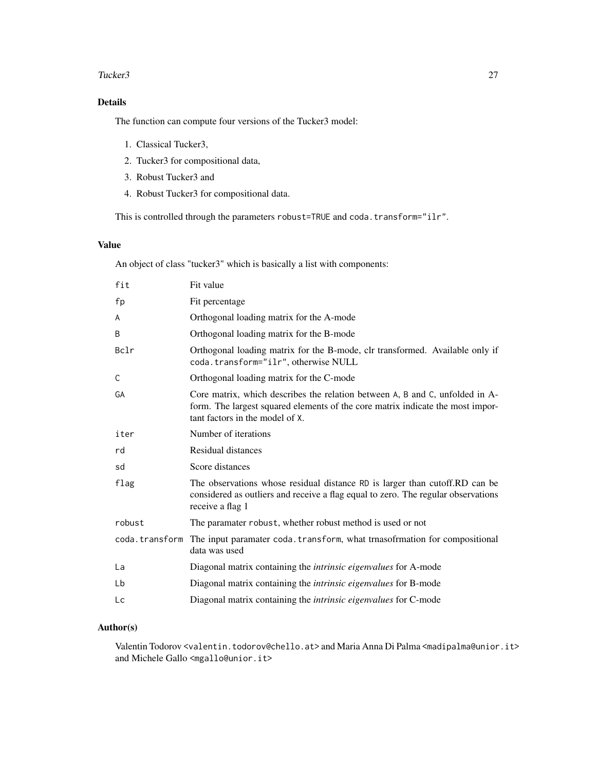## Tucker3 27

# Details

The function can compute four versions of the Tucker3 model:

- 1. Classical Tucker3,
- 2. Tucker3 for compositional data,
- 3. Robust Tucker3 and
- 4. Robust Tucker3 for compositional data.

This is controlled through the parameters robust=TRUE and coda.transform="ilr".

# Value

An object of class "tucker3" which is basically a list with components:

| fit            | Fit value                                                                                                                                                                                         |  |
|----------------|---------------------------------------------------------------------------------------------------------------------------------------------------------------------------------------------------|--|
| fp             | Fit percentage                                                                                                                                                                                    |  |
| A              | Orthogonal loading matrix for the A-mode                                                                                                                                                          |  |
| B              | Orthogonal loading matrix for the B-mode                                                                                                                                                          |  |
| Bclr           | Orthogonal loading matrix for the B-mode, clr transformed. Available only if<br>coda.transform="ilr", otherwise NULL                                                                              |  |
| C              | Orthogonal loading matrix for the C-mode                                                                                                                                                          |  |
| GA             | Core matrix, which describes the relation between A, B and C, unfolded in A-<br>form. The largest squared elements of the core matrix indicate the most impor-<br>tant factors in the model of X. |  |
| iter           | Number of iterations                                                                                                                                                                              |  |
| rd             | Residual distances                                                                                                                                                                                |  |
| sd             | Score distances                                                                                                                                                                                   |  |
| flag           | The observations whose residual distance RD is larger than cutoff.RD can be<br>considered as outliers and receive a flag equal to zero. The regular observations<br>receive a flag 1              |  |
| robust         | The paramater robust, whether robust method is used or not                                                                                                                                        |  |
| coda.transform | The input paramater coda. transform, what trnasofrmation for compositional<br>data was used                                                                                                       |  |
| La             | Diagonal matrix containing the <i>intrinsic eigenvalues</i> for A-mode                                                                                                                            |  |
| Lb             | Diagonal matrix containing the <i>intrinsic eigenvalues</i> for B-mode                                                                                                                            |  |
| Lc             | Diagonal matrix containing the <i>intrinsic eigenvalues</i> for C-mode                                                                                                                            |  |

# Author(s)

Valentin Todorov <valentin.todorov@chello.at> and Maria Anna Di Palma <madipalma@unior.it> and Michele Gallo <mgallo@unior.it>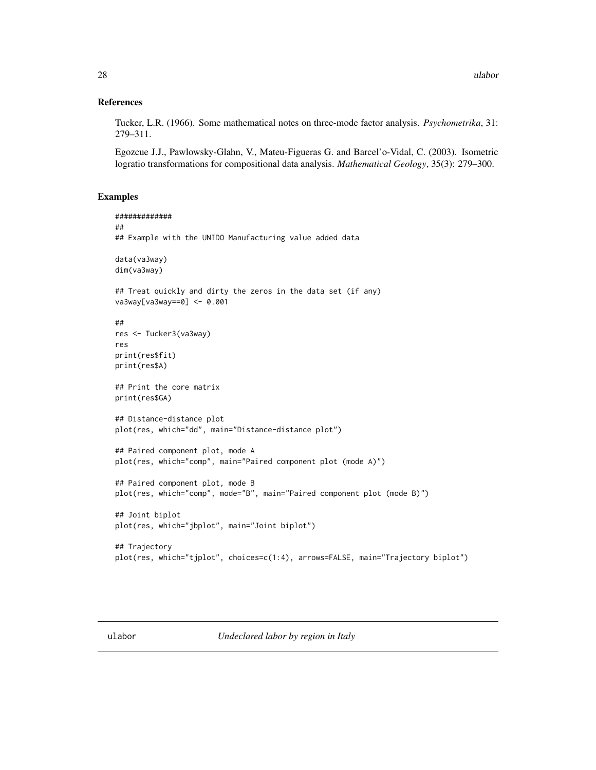## <span id="page-27-0"></span>References

Tucker, L.R. (1966). Some mathematical notes on three-mode factor analysis. *Psychometrika*, 31: 279–311.

Egozcue J.J., Pawlowsky-Glahn, V., Mateu-Figueras G. and Barcel'o-Vidal, C. (2003). Isometric logratio transformations for compositional data analysis. *Mathematical Geology*, 35(3): 279–300.

```
#############
##
## Example with the UNIDO Manufacturing value added data
data(va3way)
dim(va3way)
## Treat quickly and dirty the zeros in the data set (if any)
va3way[va3way==0] <- 0.001
##
res <- Tucker3(va3way)
res
print(res$fit)
print(res$A)
## Print the core matrix
print(res$GA)
## Distance-distance plot
plot(res, which="dd", main="Distance-distance plot")
## Paired component plot, mode A
plot(res, which="comp", main="Paired component plot (mode A)")
## Paired component plot, mode B
plot(res, which="comp", mode="B", main="Paired component plot (mode B)")
## Joint biplot
plot(res, which="jbplot", main="Joint biplot")
## Trajectory
plot(res, which="tjplot", choices=c(1:4), arrows=FALSE, main="Trajectory biplot")
```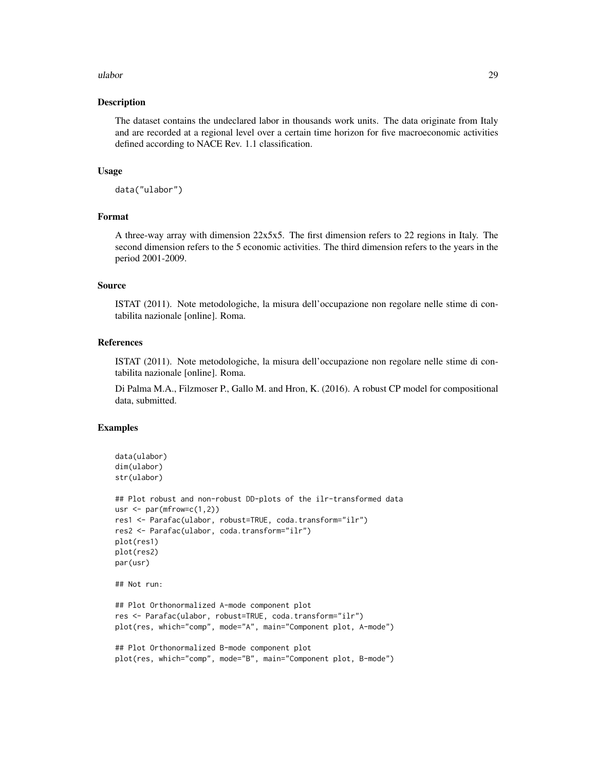#### ulabor 29

## Description

The dataset contains the undeclared labor in thousands work units. The data originate from Italy and are recorded at a regional level over a certain time horizon for five macroeconomic activities defined according to NACE Rev. 1.1 classification.

# Usage

data("ulabor")

# Format

A three-way array with dimension 22x5x5. The first dimension refers to 22 regions in Italy. The second dimension refers to the 5 economic activities. The third dimension refers to the years in the period 2001-2009.

## Source

ISTAT (2011). Note metodologiche, la misura dell'occupazione non regolare nelle stime di contabilita nazionale [online]. Roma.

# References

ISTAT (2011). Note metodologiche, la misura dell'occupazione non regolare nelle stime di contabilita nazionale [online]. Roma.

Di Palma M.A., Filzmoser P., Gallo M. and Hron, K. (2016). A robust CP model for compositional data, submitted.

```
data(ulabor)
dim(ulabor)
str(ulabor)
## Plot robust and non-robust DD-plots of the ilr-transformed data
usr \leq par(mfrow=c(1,2))
res1 <- Parafac(ulabor, robust=TRUE, coda.transform="ilr")
res2 <- Parafac(ulabor, coda.transform="ilr")
plot(res1)
plot(res2)
par(usr)
## Not run:
## Plot Orthonormalized A-mode component plot
res <- Parafac(ulabor, robust=TRUE, coda.transform="ilr")
plot(res, which="comp", mode="A", main="Component plot, A-mode")
## Plot Orthonormalized B-mode component plot
plot(res, which="comp", mode="B", main="Component plot, B-mode")
```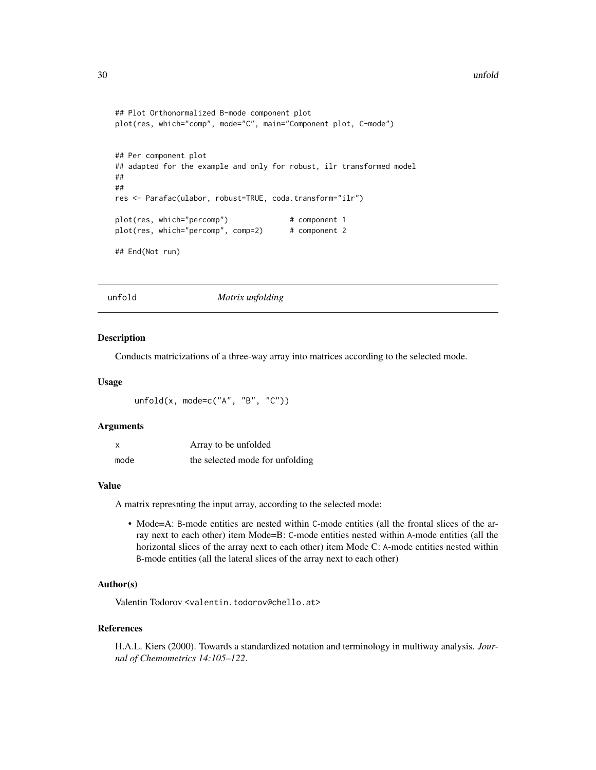#### <span id="page-29-0"></span>30 unfold

```
## Plot Orthonormalized B-mode component plot
plot(res, which="comp", mode="C", main="Component plot, C-mode")
## Per component plot
## adapted for the example and only for robust, ilr transformed model
##
##
res <- Parafac(ulabor, robust=TRUE, coda.transform="ilr")
plot(res, which="percomp") # component 1
plot(res, which="percomp", comp=2) # component 2
## End(Not run)
```
unfold *Matrix unfolding*

#### **Description**

Conducts matricizations of a three-way array into matrices according to the selected mode.

## Usage

```
unfold(x, mode=c("A", "B", "C"))
```
## Arguments

| x    | Array to be unfolded            |
|------|---------------------------------|
| mode | the selected mode for unfolding |

# Value

A matrix represnting the input array, according to the selected mode:

• Mode=A: B-mode entities are nested within C-mode entities (all the frontal slices of the array next to each other) item Mode=B: C-mode entities nested within A-mode entities (all the horizontal slices of the array next to each other) item Mode C: A-mode entities nested within B-mode entities (all the lateral slices of the array next to each other)

## Author(s)

Valentin Todorov <valentin.todorov@chello.at>

#### References

H.A.L. Kiers (2000). Towards a standardized notation and terminology in multiway analysis. *Journal of Chemometrics 14:105–122*.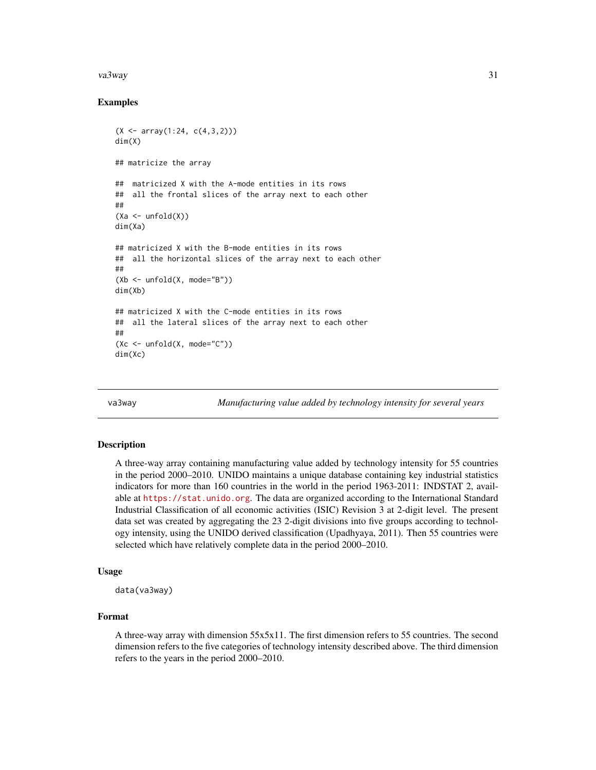#### <span id="page-30-0"></span>va $3$ way  $31$

# Examples

```
(X \leq -\arctan(1:24, c(4,3,2)))dim(X)
## matricize the array
## matricized X with the A-mode entities in its rows
## all the frontal slices of the array next to each other
##
(Xa \leftarrow \text{unfold}(X))dim(Xa)
## matricized X with the B-mode entities in its rows
## all the horizontal slices of the array next to each other
##
(Xb \leq unfold(X, \text{mode} = "B")dim(Xb)
## matricized X with the C-mode entities in its rows
## all the lateral slices of the array next to each other
##
(Xc \le - unfold(X, \text{mode} = "C")dim(Xc)
```
va3way *Manufacturing value added by technology intensity for several years*

#### **Description**

A three-way array containing manufacturing value added by technology intensity for 55 countries in the period 2000–2010. UNIDO maintains a unique database containing key industrial statistics indicators for more than 160 countries in the world in the period 1963-2011: INDSTAT 2, available at <https://stat.unido.org>. The data are organized according to the International Standard Industrial Classification of all economic activities (ISIC) Revision 3 at 2-digit level. The present data set was created by aggregating the 23 2-digit divisions into five groups according to technology intensity, using the UNIDO derived classification (Upadhyaya, 2011). Then 55 countries were selected which have relatively complete data in the period 2000–2010.

## Usage

```
data(va3way)
```
# Format

A three-way array with dimension 55x5x11. The first dimension refers to 55 countries. The second dimension refers to the five categories of technology intensity described above. The third dimension refers to the years in the period 2000–2010.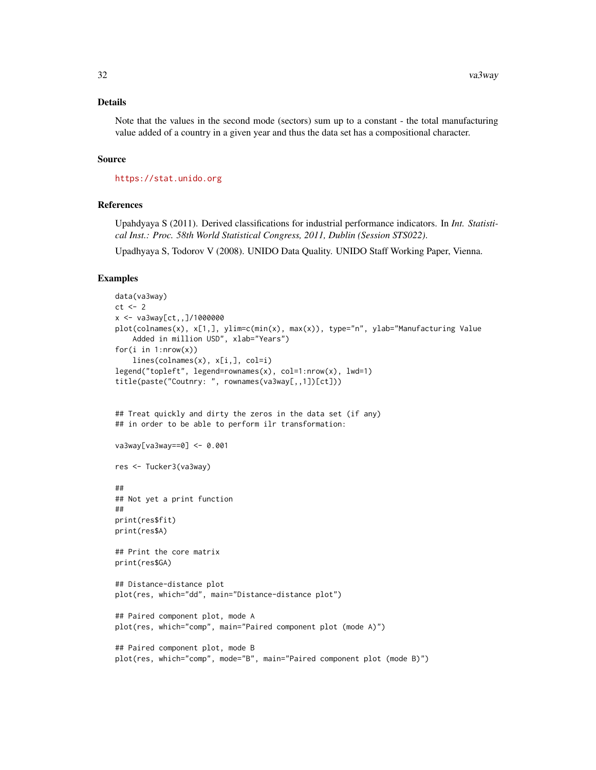# Details

Note that the values in the second mode (sectors) sum up to a constant - the total manufacturing value added of a country in a given year and thus the data set has a compositional character.

# Source

<https://stat.unido.org>

#### References

Upahdyaya S (2011). Derived classifications for industrial performance indicators. In *Int. Statistical Inst.: Proc. 58th World Statistical Congress, 2011, Dublin (Session STS022)*.

Upadhyaya S, Todorov V (2008). UNIDO Data Quality. UNIDO Staff Working Paper, Vienna.

```
data(va3way)
ct < -2x <- va3way[ct,,]/1000000
plot(colnames(x), x[1,], ylim=c(min(x), max(x)), type="n", ylab="Manufacturing Value
    Added in million USD", xlab="Years")
for(i in 1:nrow(x))lines(colnames(x), x[i,], col=i)
legend("topleft", legend=rownames(x), col=1:nrow(x), lwd=1)
title(paste("Coutnry: ", rownames(va3way[,,1])[ct]))
## Treat quickly and dirty the zeros in the data set (if any)
## in order to be able to perform ilr transformation:
va3way[va3way==0] <- 0.001
res <- Tucker3(va3way)
##
## Not yet a print function
##
print(res$fit)
print(res$A)
## Print the core matrix
print(res$GA)
## Distance-distance plot
plot(res, which="dd", main="Distance-distance plot")
## Paired component plot, mode A
plot(res, which="comp", main="Paired component plot (mode A)")
## Paired component plot, mode B
plot(res, which="comp", mode="B", main="Paired component plot (mode B)")
```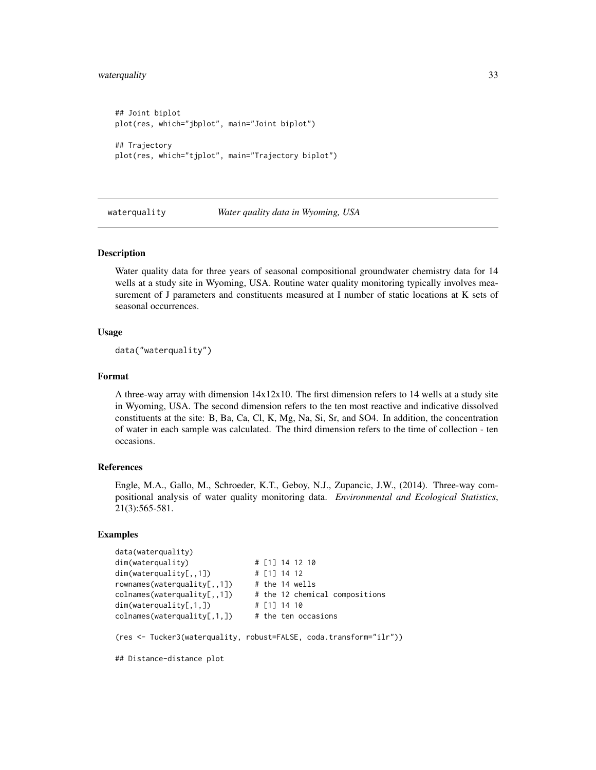# <span id="page-32-0"></span>waterquality 33

```
## Joint biplot
plot(res, which="jbplot", main="Joint biplot")
## Trajectory
plot(res, which="tjplot", main="Trajectory biplot")
```
waterquality *Water quality data in Wyoming, USA*

## Description

Water quality data for three years of seasonal compositional groundwater chemistry data for 14 wells at a study site in Wyoming, USA. Routine water quality monitoring typically involves measurement of J parameters and constituents measured at I number of static locations at K sets of seasonal occurrences.

## Usage

data("waterquality")

## Format

A three-way array with dimension 14x12x10. The first dimension refers to 14 wells at a study site in Wyoming, USA. The second dimension refers to the ten most reactive and indicative dissolved constituents at the site: B, Ba, Ca, Cl, K, Mg, Na, Si, Sr, and SO4. In addition, the concentration of water in each sample was calculated. The third dimension refers to the time of collection - ten occasions.

#### References

Engle, M.A., Gallo, M., Schroeder, K.T., Geboy, N.J., Zupancic, J.W., (2014). Three-way compositional analysis of water quality monitoring data. *Environmental and Ecological Statistics*, 21(3):565-581.

## Examples

```
data(waterquality)
dim(waterquality) # [1] 14 12 10
dim(waterquality[,,1]) # [1] 14 12
rownames(waterquality[,,1]) # the 14 wells
collnames(waterquality[,,1]) # the 12 chemical compositions
dim(waterquality[,1,]) # [1] 14 10
collnames(waterquality[,1,1) # the ten occasions
```
(res <- Tucker3(waterquality, robust=FALSE, coda.transform="ilr"))

## Distance-distance plot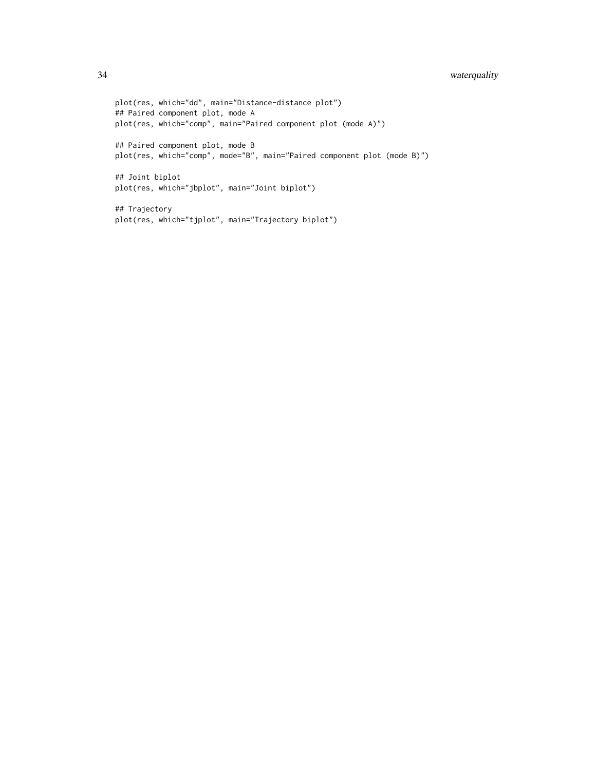```
plot(res, which="dd", main="Distance-distance plot")
## Paired component plot, mode A
plot(res, which="comp", main="Paired component plot (mode A)")
## Paired component plot, mode B
plot(res, which="comp", mode="B", main="Paired component plot (mode B)")
## Joint biplot
plot(res, which="jbplot", main="Joint biplot")
## Trajectory
plot(res, which="tjplot", main="Trajectory biplot")
```